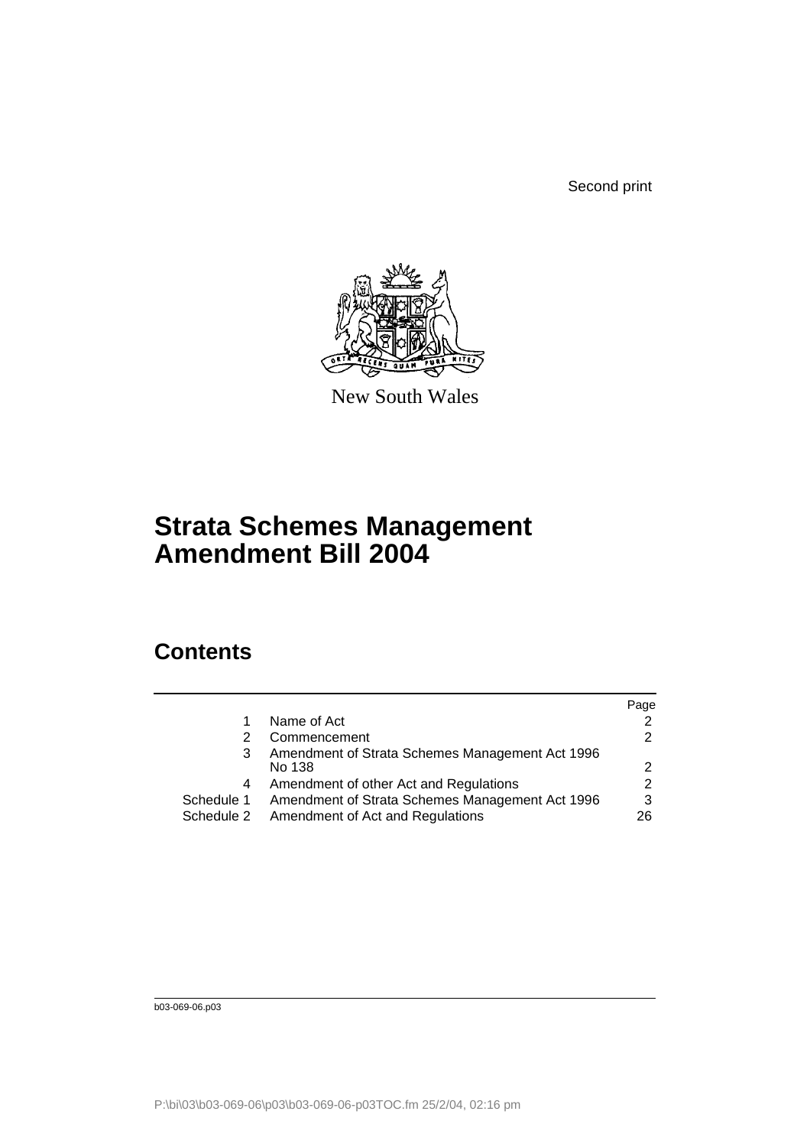Second print



New South Wales

# **Strata Schemes Management Amendment Bill 2004**

## **Contents**

|            |                                                 | Page          |
|------------|-------------------------------------------------|---------------|
|            | Name of Act                                     | 2             |
|            | Commencement                                    | $\mathcal{P}$ |
| 3          | Amendment of Strata Schemes Management Act 1996 |               |
|            | No 138                                          | 2             |
| 4          | Amendment of other Act and Regulations          | $\mathcal{P}$ |
| Schedule 1 | Amendment of Strata Schemes Management Act 1996 | 3             |
| Schedule 2 | Amendment of Act and Regulations                | 26            |
|            |                                                 |               |

b03-069-06.p03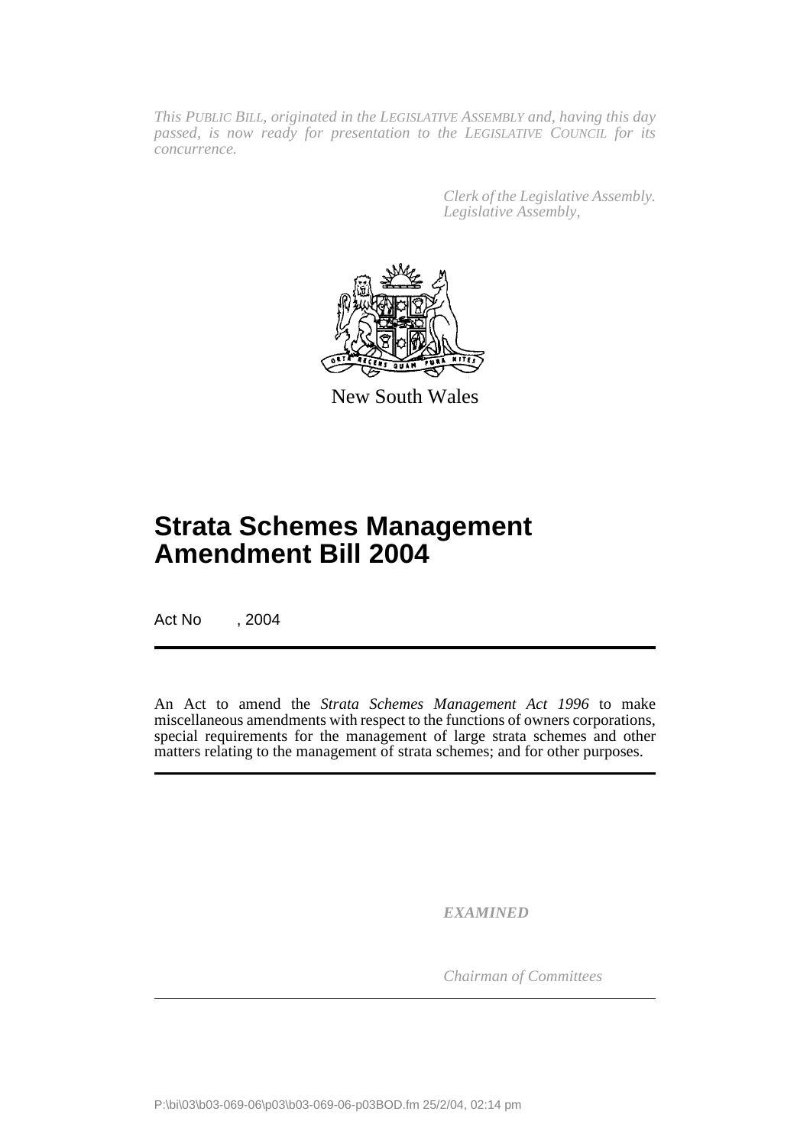*This PUBLIC BILL, originated in the LEGISLATIVE ASSEMBLY and, having this day passed, is now ready for presentation to the LEGISLATIVE COUNCIL for its concurrence.*

> *Clerk of the Legislative Assembly. Legislative Assembly,*



New South Wales

## **Strata Schemes Management Amendment Bill 2004**

Act No , 2004

An Act to amend the *Strata Schemes Management Act 1996* to make miscellaneous amendments with respect to the functions of owners corporations, special requirements for the management of large strata schemes and other matters relating to the management of strata schemes; and for other purposes.

*EXAMINED*

*Chairman of Committees*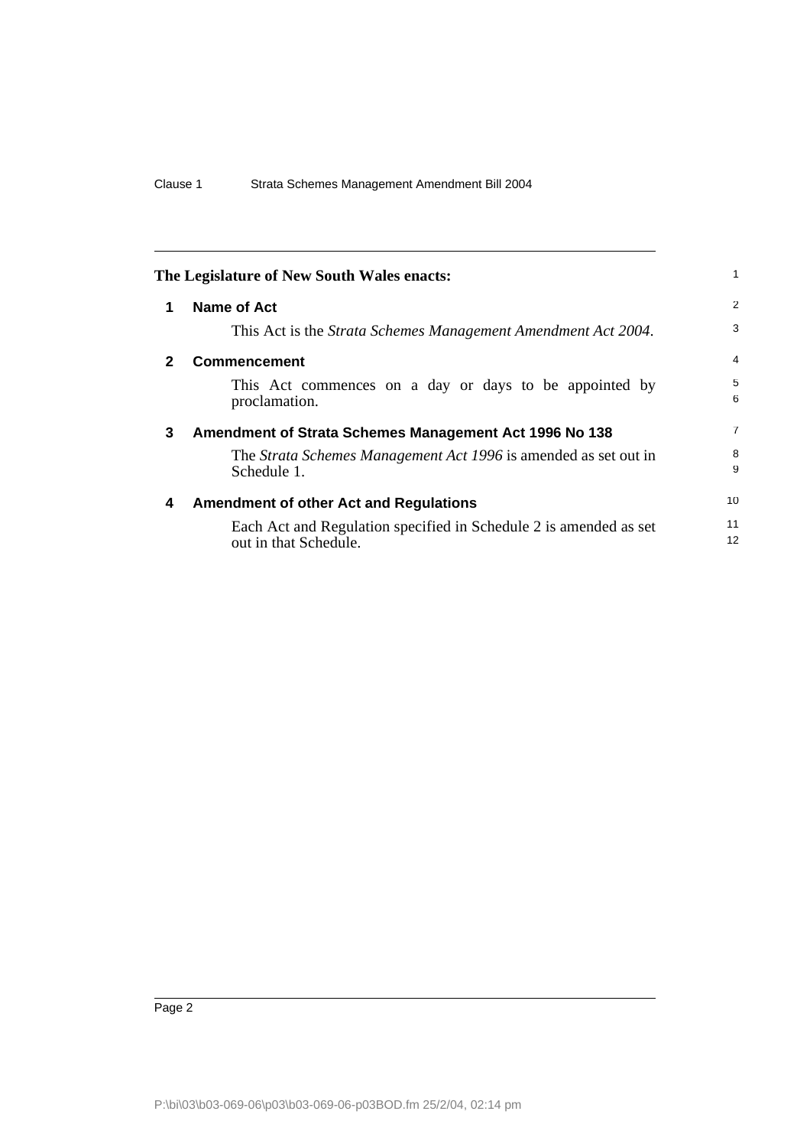<span id="page-3-3"></span><span id="page-3-2"></span><span id="page-3-1"></span><span id="page-3-0"></span>

|              | The Legislature of New South Wales enacts:                                                 | 1        |
|--------------|--------------------------------------------------------------------------------------------|----------|
| 1            | Name of Act                                                                                | 2        |
|              | This Act is the <i>Strata Schemes Management Amendment Act 2004</i> .                      | 3        |
| $\mathbf{2}$ | <b>Commencement</b>                                                                        | 4        |
|              | This Act commences on a day or days to be appointed by<br>proclamation.                    | 5<br>6   |
| 3            | Amendment of Strata Schemes Management Act 1996 No 138                                     | 7        |
|              | The Strata Schemes Management Act 1996 is amended as set out in<br>Schedule 1.             | 8<br>9   |
| 4            | <b>Amendment of other Act and Regulations</b>                                              | 10       |
|              | Each Act and Regulation specified in Schedule 2 is amended as set<br>out in that Schedule. | 11<br>12 |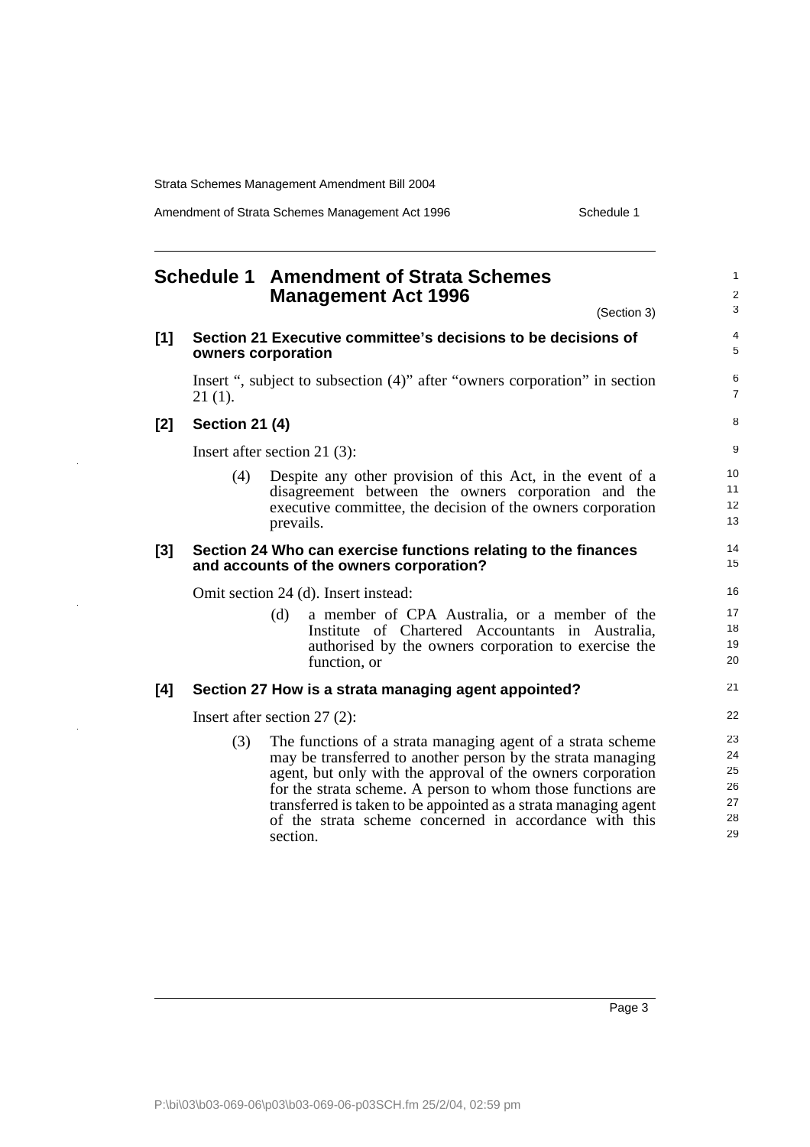Amendment of Strata Schemes Management Act 1996 Schedule 1

<span id="page-4-0"></span>

|       |                       | <b>Schedule 1 Amendment of Strata Schemes</b><br><b>Management Act 1996</b>                                                                                                                                                                                                                                                                                                                       | 1<br>$\overline{\mathbf{c}}$           |
|-------|-----------------------|---------------------------------------------------------------------------------------------------------------------------------------------------------------------------------------------------------------------------------------------------------------------------------------------------------------------------------------------------------------------------------------------------|----------------------------------------|
|       |                       | (Section 3)                                                                                                                                                                                                                                                                                                                                                                                       | 3                                      |
| $[1]$ |                       | Section 21 Executive committee's decisions to be decisions of<br>owners corporation                                                                                                                                                                                                                                                                                                               | 4<br>5                                 |
|       | $21(1)$ .             | Insert ", subject to subsection (4)" after "owners corporation" in section                                                                                                                                                                                                                                                                                                                        | 6<br>7                                 |
| [2]   | <b>Section 21 (4)</b> |                                                                                                                                                                                                                                                                                                                                                                                                   | 8                                      |
|       |                       | Insert after section 21 $(3)$ :                                                                                                                                                                                                                                                                                                                                                                   | 9                                      |
|       | (4)                   | Despite any other provision of this Act, in the event of a<br>disagreement between the owners corporation and the<br>executive committee, the decision of the owners corporation<br>prevails.                                                                                                                                                                                                     | 10<br>11<br>12<br>13                   |
| [3]   |                       | Section 24 Who can exercise functions relating to the finances<br>and accounts of the owners corporation?                                                                                                                                                                                                                                                                                         | 14<br>15                               |
|       |                       | Omit section 24 (d). Insert instead:                                                                                                                                                                                                                                                                                                                                                              | 16                                     |
|       |                       | (d)<br>a member of CPA Australia, or a member of the<br>Institute of Chartered Accountants in Australia,<br>authorised by the owners corporation to exercise the<br>function, or                                                                                                                                                                                                                  | 17<br>18<br>19<br>20                   |
| [4]   |                       | Section 27 How is a strata managing agent appointed?                                                                                                                                                                                                                                                                                                                                              | 21                                     |
|       |                       | Insert after section $27(2)$ :                                                                                                                                                                                                                                                                                                                                                                    | 22                                     |
|       | (3)                   | The functions of a strata managing agent of a strata scheme<br>may be transferred to another person by the strata managing<br>agent, but only with the approval of the owners corporation<br>for the strata scheme. A person to whom those functions are<br>transferred is taken to be appointed as a strata managing agent<br>of the strata scheme concerned in accordance with this<br>section. | 23<br>24<br>25<br>26<br>27<br>28<br>29 |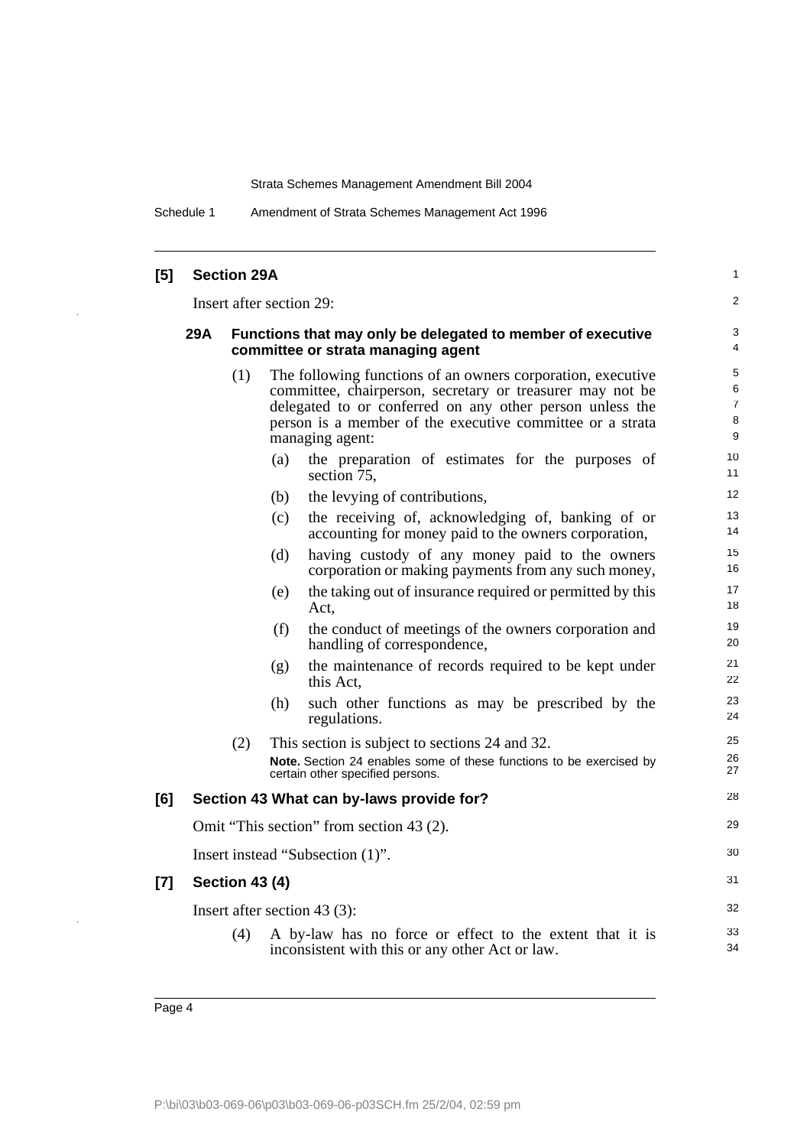Schedule 1 Amendment of Strata Schemes Management Act 1996

| [5]   |     | <b>Section 29A</b>    |                          |                                                                                                                                                                                                                                                                      | 1                           |
|-------|-----|-----------------------|--------------------------|----------------------------------------------------------------------------------------------------------------------------------------------------------------------------------------------------------------------------------------------------------------------|-----------------------------|
|       |     |                       | Insert after section 29: |                                                                                                                                                                                                                                                                      | 2                           |
|       | 29A |                       |                          | Functions that may only be delegated to member of executive<br>committee or strata managing agent                                                                                                                                                                    | 3<br>4                      |
|       |     | (1)                   |                          | The following functions of an owners corporation, executive<br>committee, chairperson, secretary or treasurer may not be<br>delegated to or conferred on any other person unless the<br>person is a member of the executive committee or a strata<br>managing agent: | 5<br>6<br>7<br>8<br>9<br>10 |
|       |     |                       | (a)                      | the preparation of estimates for the purposes of<br>section 75,                                                                                                                                                                                                      | 11                          |
|       |     |                       | (b)                      | the levying of contributions,                                                                                                                                                                                                                                        | 12                          |
|       |     |                       | (c)                      | the receiving of, acknowledging of, banking of or<br>accounting for money paid to the owners corporation,                                                                                                                                                            | 13<br>14                    |
|       |     |                       | (d)                      | having custody of any money paid to the owners<br>corporation or making payments from any such money,                                                                                                                                                                | 15<br>16                    |
|       |     |                       | (e)                      | the taking out of insurance required or permitted by this<br>Act,                                                                                                                                                                                                    | 17<br>18                    |
|       |     |                       | (f)                      | the conduct of meetings of the owners corporation and<br>handling of correspondence,                                                                                                                                                                                 | 19<br>20                    |
|       |     |                       | (g)                      | the maintenance of records required to be kept under<br>this Act,                                                                                                                                                                                                    | 21<br>22                    |
|       |     |                       | (h)                      | such other functions as may be prescribed by the<br>regulations.                                                                                                                                                                                                     | 23<br>24                    |
|       |     | (2)                   |                          | This section is subject to sections 24 and 32.<br>Note. Section 24 enables some of these functions to be exercised by<br>certain other specified persons.                                                                                                            | 25<br>26<br>27              |
| [6]   |     |                       |                          | Section 43 What can by-laws provide for?                                                                                                                                                                                                                             | 28                          |
|       |     |                       |                          | Omit "This section" from section 43 (2).                                                                                                                                                                                                                             | 29                          |
|       |     |                       |                          | Insert instead "Subsection (1)".                                                                                                                                                                                                                                     | 30                          |
| $[7]$ |     | <b>Section 43 (4)</b> |                          |                                                                                                                                                                                                                                                                      | 31                          |
|       |     |                       |                          | Insert after section 43 $(3)$ :                                                                                                                                                                                                                                      | 32                          |
|       |     | (4)                   |                          | A by-law has no force or effect to the extent that it is<br>inconsistent with this or any other Act or law.                                                                                                                                                          | 33<br>34                    |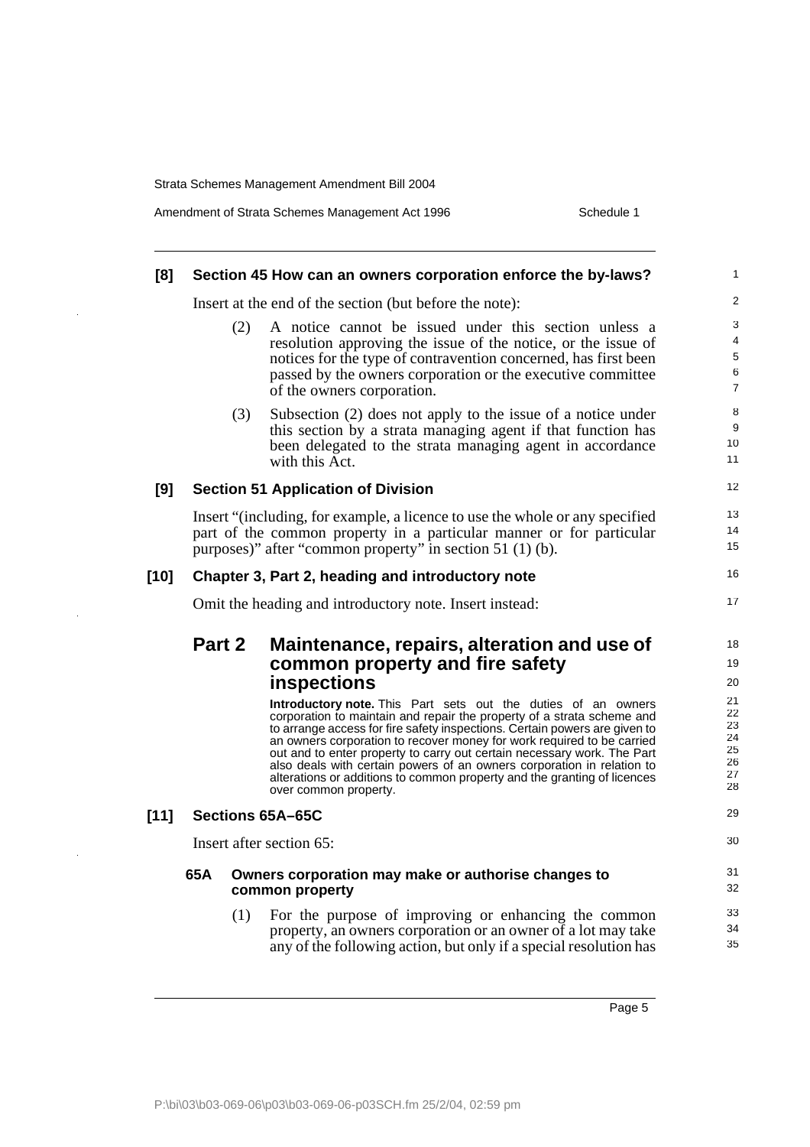$\ddot{\phantom{a}}$ 

 $\bar{z}$ 

 $\bar{\beta}$ 

| Amendment of Strata Schemes Management Act 1996 | Schedule 1 |
|-------------------------------------------------|------------|
|-------------------------------------------------|------------|

| [8]    |        |     | Section 45 How can an owners corporation enforce the by-laws?                                                                                                                                                                                                                                                                                                                                                  | 1                                |
|--------|--------|-----|----------------------------------------------------------------------------------------------------------------------------------------------------------------------------------------------------------------------------------------------------------------------------------------------------------------------------------------------------------------------------------------------------------------|----------------------------------|
|        |        |     | Insert at the end of the section (but before the note):                                                                                                                                                                                                                                                                                                                                                        | $\overline{c}$                   |
|        |        | (2) | A notice cannot be issued under this section unless a<br>resolution approving the issue of the notice, or the issue of<br>notices for the type of contravention concerned, has first been<br>passed by the owners corporation or the executive committee<br>of the owners corporation.                                                                                                                         | 3<br>4<br>5<br>6<br>7            |
|        |        | (3) | Subsection (2) does not apply to the issue of a notice under<br>this section by a strata managing agent if that function has<br>been delegated to the strata managing agent in accordance<br>with this Act.                                                                                                                                                                                                    | 8<br>9<br>10<br>11               |
| [9]    |        |     | <b>Section 51 Application of Division</b>                                                                                                                                                                                                                                                                                                                                                                      | 12                               |
|        |        |     | Insert "(including, for example, a licence to use the whole or any specified<br>part of the common property in a particular manner or for particular<br>purposes)" after "common property" in section 51 (1) (b).                                                                                                                                                                                              | 13<br>14<br>15                   |
| $[10]$ |        |     | Chapter 3, Part 2, heading and introductory note                                                                                                                                                                                                                                                                                                                                                               | 16                               |
|        |        |     | Omit the heading and introductory note. Insert instead:                                                                                                                                                                                                                                                                                                                                                        | 17                               |
|        | Part 2 |     | Maintenance, repairs, alteration and use of<br>common property and fire safety<br><b>inspections</b><br><b>Introductory note.</b> This Part sets out the duties of an owners<br>corporation to maintain and repair the property of a strata scheme and                                                                                                                                                         | 18<br>19<br>20<br>21<br>22       |
|        |        |     | to arrange access for fire safety inspections. Certain powers are given to<br>an owners corporation to recover money for work required to be carried<br>out and to enter property to carry out certain necessary work. The Part<br>also deals with certain powers of an owners corporation in relation to<br>alterations or additions to common property and the granting of licences<br>over common property. | 23<br>24<br>25<br>26<br>27<br>28 |
| $[11]$ |        |     | Sections 65A-65C                                                                                                                                                                                                                                                                                                                                                                                               | 29                               |
|        |        |     | Insert after section 65:                                                                                                                                                                                                                                                                                                                                                                                       | 30                               |
|        | 65A    |     | Owners corporation may make or authorise changes to<br>common property                                                                                                                                                                                                                                                                                                                                         | 31<br>32                         |
|        |        | (1) | For the purpose of improving or enhancing the common<br>property, an owners corporation or an owner of a lot may take<br>any of the following action, but only if a special resolution has                                                                                                                                                                                                                     | 33<br>34<br>35                   |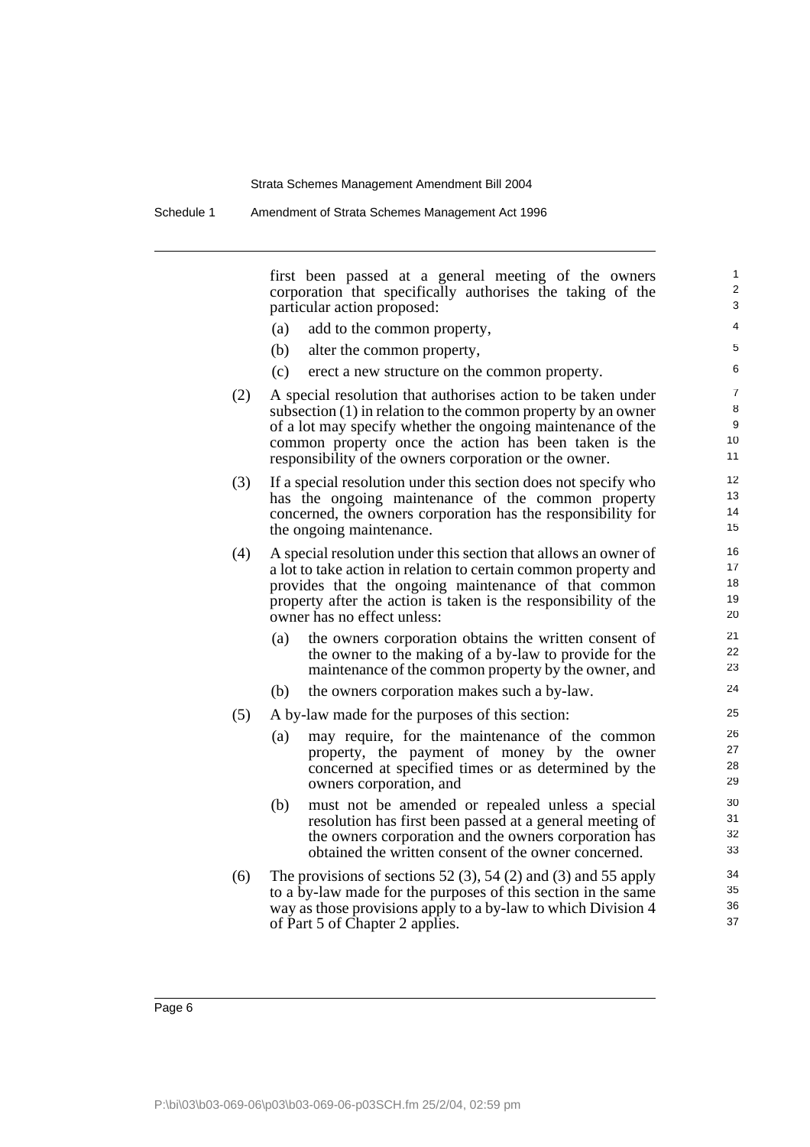first been passed at a general meeting of the owners corporation that specifically authorises the taking of the particular action proposed:

- (a) add to the common property,
- (b) alter the common property,
- (c) erect a new structure on the common property.
- (2) A special resolution that authorises action to be taken under subsection (1) in relation to the common property by an owner of a lot may specify whether the ongoing maintenance of the common property once the action has been taken is the responsibility of the owners corporation or the owner.
- (3) If a special resolution under this section does not specify who has the ongoing maintenance of the common property concerned, the owners corporation has the responsibility for the ongoing maintenance.
- (4) A special resolution under this section that allows an owner of a lot to take action in relation to certain common property and provides that the ongoing maintenance of that common property after the action is taken is the responsibility of the owner has no effect unless:
	- (a) the owners corporation obtains the written consent of the owner to the making of a by-law to provide for the maintenance of the common property by the owner, and
	- (b) the owners corporation makes such a by-law.
- (5) A by-law made for the purposes of this section:
	- (a) may require, for the maintenance of the common property, the payment of money by the owner concerned at specified times or as determined by the owners corporation, and
	- (b) must not be amended or repealed unless a special resolution has first been passed at a general meeting of the owners corporation and the owners corporation has obtained the written consent of the owner concerned.
- (6) The provisions of sections  $52(3)$ ,  $54(2)$  and  $(3)$  and  $55$  apply to a by-law made for the purposes of this section in the same way as those provisions apply to a by-law to which Division 4 of Part 5 of Chapter 2 applies.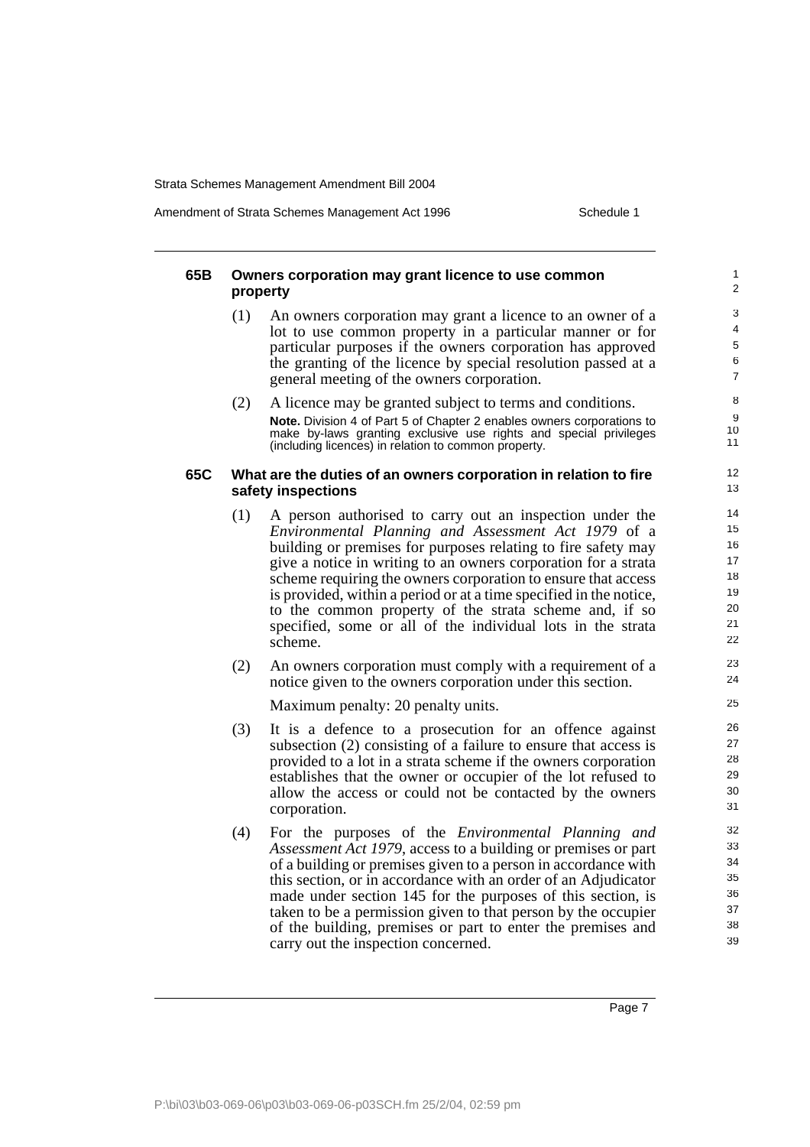Amendment of Strata Schemes Management Act 1996 Schedule 1

### **65B Owners corporation may grant licence to use common property**

- (1) An owners corporation may grant a licence to an owner of a lot to use common property in a particular manner or for particular purposes if the owners corporation has approved the granting of the licence by special resolution passed at a general meeting of the owners corporation.
- (2) A licence may be granted subject to terms and conditions. **Note.** Division 4 of Part 5 of Chapter 2 enables owners corporations to make by-laws granting exclusive use rights and special privileges (including licences) in relation to common property.

#### **65C What are the duties of an owners corporation in relation to fire safety inspections**

- (1) A person authorised to carry out an inspection under the *Environmental Planning and Assessment Act 1979* of a building or premises for purposes relating to fire safety may give a notice in writing to an owners corporation for a strata scheme requiring the owners corporation to ensure that access is provided, within a period or at a time specified in the notice, to the common property of the strata scheme and, if so specified, some or all of the individual lots in the strata scheme.
- (2) An owners corporation must comply with a requirement of a notice given to the owners corporation under this section.

Maximum penalty: 20 penalty units.

- (3) It is a defence to a prosecution for an offence against subsection (2) consisting of a failure to ensure that access is provided to a lot in a strata scheme if the owners corporation establishes that the owner or occupier of the lot refused to allow the access or could not be contacted by the owners corporation.
- (4) For the purposes of the *Environmental Planning and Assessment Act 1979*, access to a building or premises or part of a building or premises given to a person in accordance with this section, or in accordance with an order of an Adjudicator made under section 145 for the purposes of this section, is taken to be a permission given to that person by the occupier of the building, premises or part to enter the premises and carry out the inspection concerned.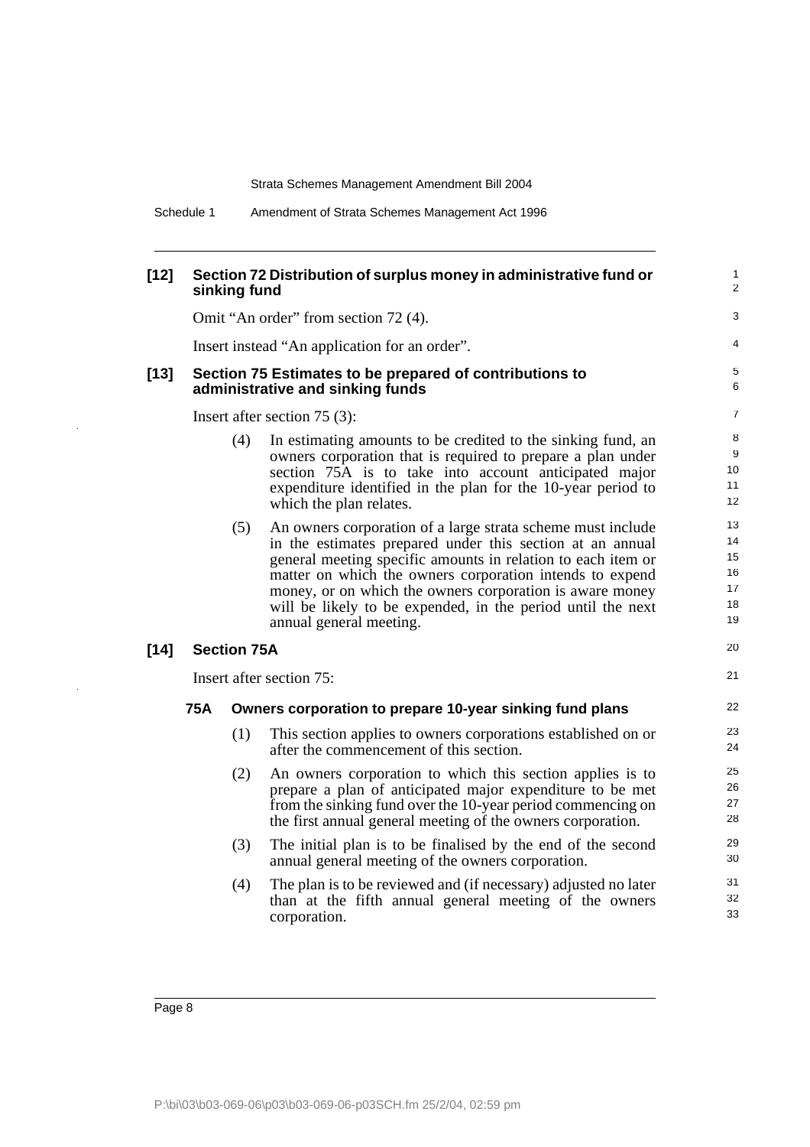| $[12]$ |     | sinking fund       | Section 72 Distribution of surplus money in administrative fund or                                                                                                                                                                                                                                                                                                                                         | $\mathbf{1}$<br>$\overline{2}$         |
|--------|-----|--------------------|------------------------------------------------------------------------------------------------------------------------------------------------------------------------------------------------------------------------------------------------------------------------------------------------------------------------------------------------------------------------------------------------------------|----------------------------------------|
|        |     |                    | Omit "An order" from section 72 (4).                                                                                                                                                                                                                                                                                                                                                                       | 3                                      |
|        |     |                    | Insert instead "An application for an order".                                                                                                                                                                                                                                                                                                                                                              | 4                                      |
| $[13]$ |     |                    | Section 75 Estimates to be prepared of contributions to<br>administrative and sinking funds                                                                                                                                                                                                                                                                                                                | 5<br>6                                 |
|        |     |                    | Insert after section $75(3)$ :                                                                                                                                                                                                                                                                                                                                                                             | $\overline{7}$                         |
|        |     | (4)                | In estimating amounts to be credited to the sinking fund, an<br>owners corporation that is required to prepare a plan under<br>section 75A is to take into account anticipated major<br>expenditure identified in the plan for the 10-year period to<br>which the plan relates.                                                                                                                            | 8<br>9<br>10<br>11<br>12               |
|        |     | (5)                | An owners corporation of a large strata scheme must include<br>in the estimates prepared under this section at an annual<br>general meeting specific amounts in relation to each item or<br>matter on which the owners corporation intends to expend<br>money, or on which the owners corporation is aware money<br>will be likely to be expended, in the period until the next<br>annual general meeting. | 13<br>14<br>15<br>16<br>17<br>18<br>19 |
| $[14]$ |     | <b>Section 75A</b> |                                                                                                                                                                                                                                                                                                                                                                                                            | 20                                     |
|        |     |                    | Insert after section 75:                                                                                                                                                                                                                                                                                                                                                                                   | 21                                     |
|        | 75A |                    | Owners corporation to prepare 10-year sinking fund plans                                                                                                                                                                                                                                                                                                                                                   | 22                                     |
|        |     | (1)                | This section applies to owners corporations established on or<br>after the commencement of this section.                                                                                                                                                                                                                                                                                                   | 23<br>24                               |
|        |     | (2)                | An owners corporation to which this section applies is to<br>prepare a plan of anticipated major expenditure to be met<br>from the sinking fund over the 10-year period commencing on<br>the first annual general meeting of the owners corporation.                                                                                                                                                       | 25<br>26<br>27<br>28                   |
|        |     | (3)                | The initial plan is to be finalised by the end of the second<br>annual general meeting of the owners corporation.                                                                                                                                                                                                                                                                                          | 29<br>30                               |
|        |     | (4)                | The plan is to be reviewed and (if necessary) adjusted no later<br>than at the fifth annual general meeting of the owners<br>corporation.                                                                                                                                                                                                                                                                  | 31<br>32<br>33                         |

 $\overline{a}$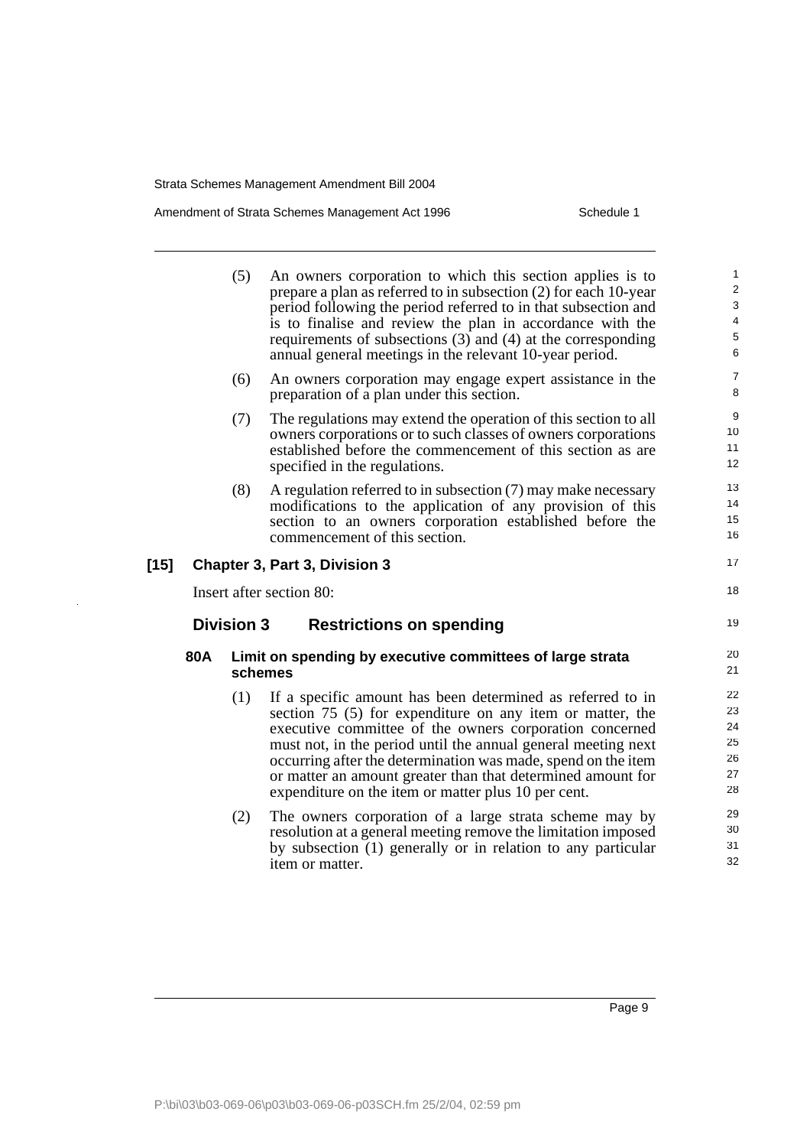$[15]$ 

 $\ddot{\phantom{a}}$ 

## Amendment of Strata Schemes Management Act 1996 Schedule 1

|     | (5)               | An owners corporation to which this section applies is to<br>prepare a plan as referred to in subsection (2) for each 10-year<br>period following the period referred to in that subsection and<br>is to finalise and review the plan in accordance with the<br>requirements of subsections (3) and (4) at the corresponding<br>annual general meetings in the relevant 10-year period.                                                    | $\mathbf{1}$<br>$\overline{2}$<br>3<br>$\overline{\mathbf{4}}$<br>5<br>6 |
|-----|-------------------|--------------------------------------------------------------------------------------------------------------------------------------------------------------------------------------------------------------------------------------------------------------------------------------------------------------------------------------------------------------------------------------------------------------------------------------------|--------------------------------------------------------------------------|
|     | (6)               | An owners corporation may engage expert assistance in the<br>preparation of a plan under this section.                                                                                                                                                                                                                                                                                                                                     | $\overline{7}$<br>8                                                      |
|     | (7)               | The regulations may extend the operation of this section to all<br>owners corporations or to such classes of owners corporations<br>established before the commencement of this section as are<br>specified in the regulations.                                                                                                                                                                                                            | 9<br>10<br>11<br>12                                                      |
|     | (8)               | A regulation referred to in subsection $(7)$ may make necessary<br>modifications to the application of any provision of this<br>section to an owners corporation established before the<br>commencement of this section.                                                                                                                                                                                                                   | 13<br>14<br>15<br>16                                                     |
|     |                   | <b>Chapter 3, Part 3, Division 3</b>                                                                                                                                                                                                                                                                                                                                                                                                       | 17                                                                       |
|     |                   | Insert after section 80:                                                                                                                                                                                                                                                                                                                                                                                                                   | 18                                                                       |
|     | <b>Division 3</b> | <b>Restrictions on spending</b>                                                                                                                                                                                                                                                                                                                                                                                                            | 19                                                                       |
| 80A |                   | Limit on spending by executive committees of large strata<br>schemes                                                                                                                                                                                                                                                                                                                                                                       | 20<br>21                                                                 |
|     | (1)               | If a specific amount has been determined as referred to in<br>section 75 (5) for expenditure on any item or matter, the<br>executive committee of the owners corporation concerned<br>must not, in the period until the annual general meeting next<br>occurring after the determination was made, spend on the item<br>or matter an amount greater than that determined amount for<br>expenditure on the item or matter plus 10 per cent. | 22<br>23<br>24<br>25<br>26<br>27<br>28                                   |
|     | (2)               | The owners corporation of a large strata scheme may by<br>resolution at a general meeting remove the limitation imposed<br>by subsection (1) generally or in relation to any particular<br>item or matter.                                                                                                                                                                                                                                 | 29<br>30<br>31<br>32                                                     |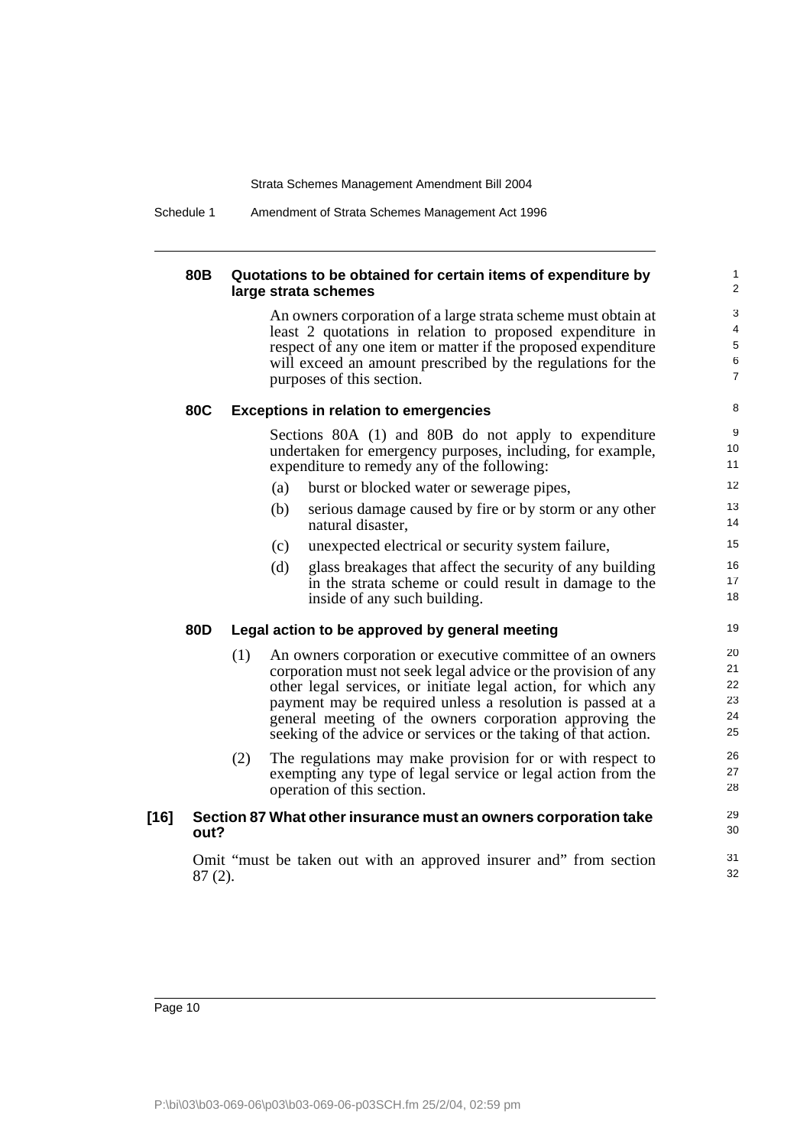Schedule 1 Amendment of Strata Schemes Management Act 1996

### **80B Quotations to be obtained for certain items of expenditure by large strata schemes**

An owners corporation of a large strata scheme must obtain at least 2 quotations in relation to proposed expenditure in respect of any one item or matter if the proposed expenditure will exceed an amount prescribed by the regulations for the purposes of this section.

#### **80C Exceptions in relation to emergencies**

Sections 80A (1) and 80B do not apply to expenditure undertaken for emergency purposes, including, for example, expenditure to remedy any of the following:

- (a) burst or blocked water or sewerage pipes,
- (b) serious damage caused by fire or by storm or any other natural disaster,
- (c) unexpected electrical or security system failure,
- (d) glass breakages that affect the security of any building in the strata scheme or could result in damage to the inside of any such building.

### **80D Legal action to be approved by general meeting**

- (1) An owners corporation or executive committee of an owners corporation must not seek legal advice or the provision of any other legal services, or initiate legal action, for which any payment may be required unless a resolution is passed at a general meeting of the owners corporation approving the seeking of the advice or services or the taking of that action.
- (2) The regulations may make provision for or with respect to exempting any type of legal service or legal action from the operation of this section.

### **[16] Section 87 What other insurance must an owners corporation take out?**

Omit "must be taken out with an approved insurer and" from section 87 (2).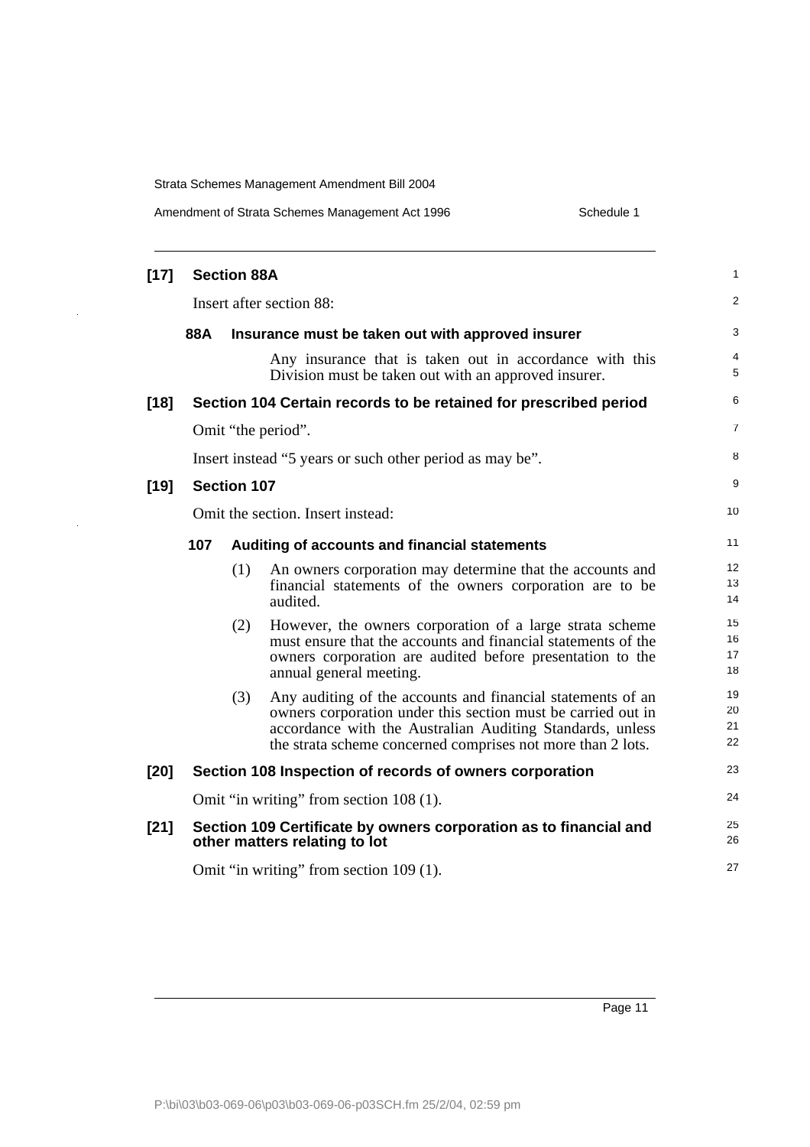$\bar{z}$ 

 $\ddot{\phantom{a}}$ 

| Amendment of Strata Schemes Management Act 1996 | Schedule 1 |
|-------------------------------------------------|------------|
|-------------------------------------------------|------------|

| $[17]$ |     | <b>Section 88A</b> |                                                                                                                                                                                                                                                         | 1                    |
|--------|-----|--------------------|---------------------------------------------------------------------------------------------------------------------------------------------------------------------------------------------------------------------------------------------------------|----------------------|
|        |     |                    | Insert after section 88:                                                                                                                                                                                                                                | 2                    |
|        | 88A |                    | Insurance must be taken out with approved insurer                                                                                                                                                                                                       | 3                    |
|        |     |                    | Any insurance that is taken out in accordance with this<br>Division must be taken out with an approved insurer.                                                                                                                                         | 4<br>5               |
| $[18]$ |     |                    | Section 104 Certain records to be retained for prescribed period                                                                                                                                                                                        | 6                    |
|        |     |                    | Omit "the period".                                                                                                                                                                                                                                      | 7                    |
|        |     |                    | Insert instead "5 years or such other period as may be".                                                                                                                                                                                                | 8                    |
| $[19]$ |     | <b>Section 107</b> |                                                                                                                                                                                                                                                         | 9                    |
|        |     |                    | Omit the section. Insert instead:                                                                                                                                                                                                                       | 10                   |
|        | 107 |                    | Auditing of accounts and financial statements                                                                                                                                                                                                           | 11                   |
|        |     | (1)                | An owners corporation may determine that the accounts and<br>financial statements of the owners corporation are to be<br>audited.                                                                                                                       | 12<br>13<br>14       |
|        |     | (2)                | However, the owners corporation of a large strata scheme<br>must ensure that the accounts and financial statements of the<br>owners corporation are audited before presentation to the<br>annual general meeting.                                       | 15<br>16<br>17<br>18 |
|        |     | (3)                | Any auditing of the accounts and financial statements of an<br>owners corporation under this section must be carried out in<br>accordance with the Australian Auditing Standards, unless<br>the strata scheme concerned comprises not more than 2 lots. | 19<br>20<br>21<br>22 |
| $[20]$ |     |                    | Section 108 Inspection of records of owners corporation                                                                                                                                                                                                 | 23                   |
|        |     |                    | Omit "in writing" from section 108 (1).                                                                                                                                                                                                                 | 24                   |
| $[21]$ |     |                    | Section 109 Certificate by owners corporation as to financial and<br>other matters relating to lot                                                                                                                                                      | 25<br>26             |
|        |     |                    | Omit "in writing" from section 109 (1).                                                                                                                                                                                                                 | 27                   |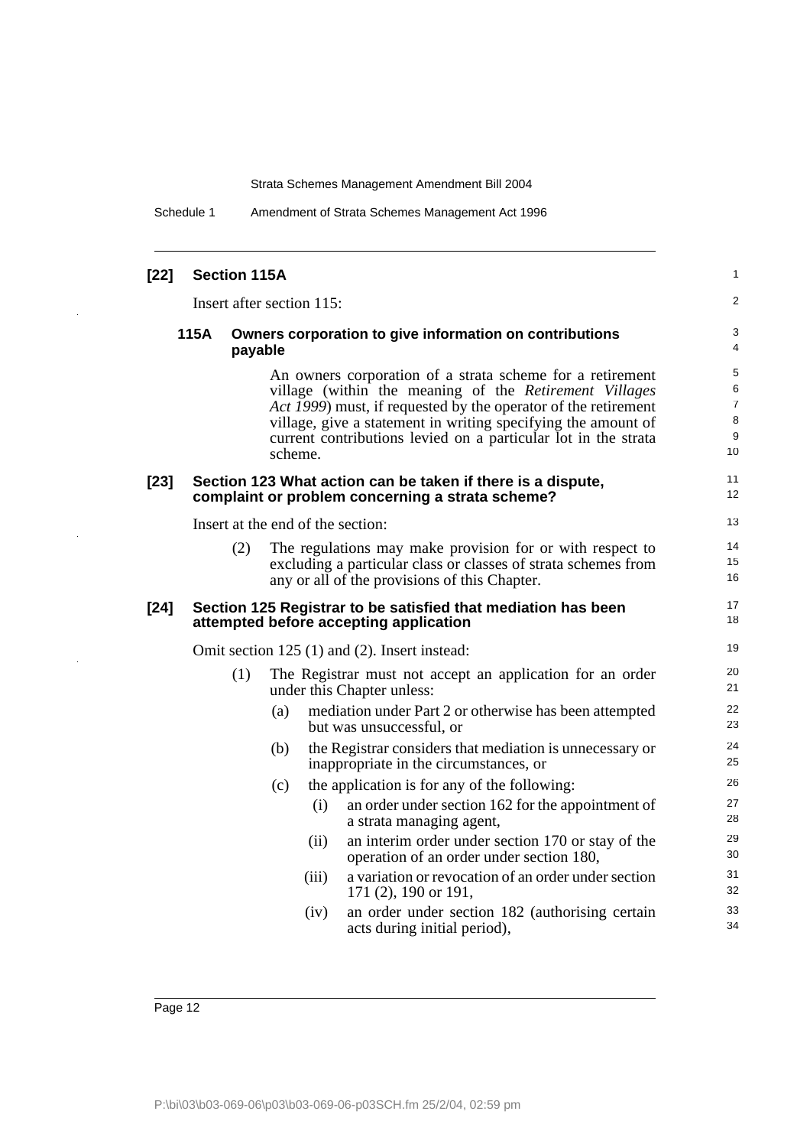Schedule 1 Amendment of Strata Schemes Management Act 1996

| $[22]$ | <b>Section 115A</b>               |         |       |                                                                                                                                                                                                                                                                                                                          | 1                                        |
|--------|-----------------------------------|---------|-------|--------------------------------------------------------------------------------------------------------------------------------------------------------------------------------------------------------------------------------------------------------------------------------------------------------------------------|------------------------------------------|
|        | Insert after section 115:         |         |       |                                                                                                                                                                                                                                                                                                                          | 2                                        |
|        | 115A                              | payable |       | Owners corporation to give information on contributions                                                                                                                                                                                                                                                                  | 3<br>$\overline{4}$                      |
|        |                                   | scheme. |       | An owners corporation of a strata scheme for a retirement<br>village (within the meaning of the Retirement Villages<br>Act 1999) must, if requested by the operator of the retirement<br>village, give a statement in writing specifying the amount of<br>current contributions levied on a particular lot in the strata | 5<br>6<br>$\overline{7}$<br>8<br>9<br>10 |
| $[23]$ |                                   |         |       | Section 123 What action can be taken if there is a dispute,<br>complaint or problem concerning a strata scheme?                                                                                                                                                                                                          | 11<br>12                                 |
|        | Insert at the end of the section: |         |       |                                                                                                                                                                                                                                                                                                                          | 13                                       |
|        | (2)                               |         |       | The regulations may make provision for or with respect to<br>excluding a particular class or classes of strata schemes from<br>any or all of the provisions of this Chapter.                                                                                                                                             | 14<br>15<br>16                           |
| $[24]$ |                                   |         |       | Section 125 Registrar to be satisfied that mediation has been<br>attempted before accepting application                                                                                                                                                                                                                  | 17<br>18                                 |
|        |                                   |         |       | Omit section 125 (1) and (2). Insert instead:                                                                                                                                                                                                                                                                            | 19                                       |
|        | (1)                               |         |       | The Registrar must not accept an application for an order<br>under this Chapter unless:                                                                                                                                                                                                                                  | 20<br>21                                 |
|        |                                   | (a)     |       | mediation under Part 2 or otherwise has been attempted<br>but was unsuccessful, or                                                                                                                                                                                                                                       | 22<br>23                                 |
|        |                                   | (b)     |       | the Registrar considers that mediation is unnecessary or<br>inappropriate in the circumstances, or                                                                                                                                                                                                                       | 24<br>25                                 |
|        |                                   | (c)     |       | the application is for any of the following:                                                                                                                                                                                                                                                                             | 26                                       |
|        |                                   |         | (i)   | an order under section 162 for the appointment of<br>a strata managing agent,                                                                                                                                                                                                                                            | 27<br>28                                 |
|        |                                   |         | (ii)  | an interim order under section 170 or stay of the<br>operation of an order under section 180,                                                                                                                                                                                                                            | 29<br>30                                 |
|        |                                   |         | (iii) | a variation or revocation of an order under section<br>171 $(2)$ , 190 or 191,                                                                                                                                                                                                                                           | 31<br>32                                 |
|        |                                   |         | (iv)  | an order under section 182 (authorising certain<br>acts during initial period),                                                                                                                                                                                                                                          | 33<br>34                                 |

÷.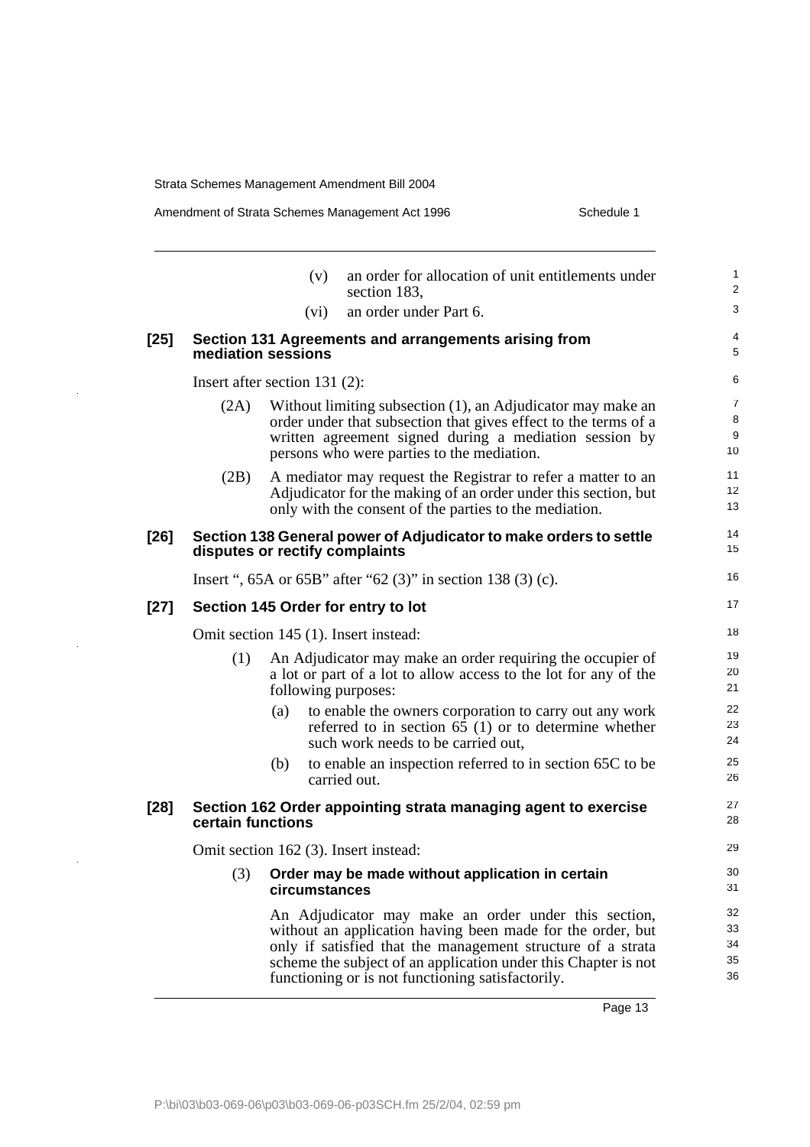$\bar{\beta}$ 

l.

Amendment of Strata Schemes Management Act 1996 Schedule 1

|        |                   | (v)                              | an order for allocation of unit entitlements under<br>section 183,                                                                                                                                                                                                                                       |  |  |  |  |
|--------|-------------------|----------------------------------|----------------------------------------------------------------------------------------------------------------------------------------------------------------------------------------------------------------------------------------------------------------------------------------------------------|--|--|--|--|
|        |                   | (vi)                             | an order under Part 6.                                                                                                                                                                                                                                                                                   |  |  |  |  |
| $[25]$ |                   | mediation sessions               | Section 131 Agreements and arrangements arising from                                                                                                                                                                                                                                                     |  |  |  |  |
|        |                   | Insert after section 131 $(2)$ : |                                                                                                                                                                                                                                                                                                          |  |  |  |  |
|        | (2A)              |                                  | Without limiting subsection (1), an Adjudicator may make an<br>order under that subsection that gives effect to the terms of a<br>written agreement signed during a mediation session by<br>persons who were parties to the mediation.                                                                   |  |  |  |  |
|        | (2B)              |                                  | A mediator may request the Registrar to refer a matter to an<br>Adjudicator for the making of an order under this section, but<br>only with the consent of the parties to the mediation.                                                                                                                 |  |  |  |  |
| $[26]$ |                   |                                  | Section 138 General power of Adjudicator to make orders to settle<br>disputes or rectify complaints                                                                                                                                                                                                      |  |  |  |  |
|        |                   |                                  | Insert ", $65A$ or $65B$ " after " $62$ (3)" in section 138 (3) (c).                                                                                                                                                                                                                                     |  |  |  |  |
| $[27]$ |                   |                                  | Section 145 Order for entry to lot                                                                                                                                                                                                                                                                       |  |  |  |  |
|        |                   |                                  | Omit section 145 (1). Insert instead:                                                                                                                                                                                                                                                                    |  |  |  |  |
|        | (1)               | following purposes:              | An Adjudicator may make an order requiring the occupier of<br>a lot or part of a lot to allow access to the lot for any of the                                                                                                                                                                           |  |  |  |  |
|        |                   | (a)                              | to enable the owners corporation to carry out any work<br>referred to in section $65$ (1) or to determine whether<br>such work needs to be carried out,                                                                                                                                                  |  |  |  |  |
|        |                   | (b)                              | to enable an inspection referred to in section 65C to be<br>carried out.                                                                                                                                                                                                                                 |  |  |  |  |
| $[28]$ | certain functions |                                  | Section 162 Order appointing strata managing agent to exercise                                                                                                                                                                                                                                           |  |  |  |  |
|        |                   |                                  | Omit section 162 (3). Insert instead:                                                                                                                                                                                                                                                                    |  |  |  |  |
|        | (3)               | circumstances                    | Order may be made without application in certain                                                                                                                                                                                                                                                         |  |  |  |  |
|        |                   |                                  | An Adjudicator may make an order under this section,<br>without an application having been made for the order, but<br>only if satisfied that the management structure of a strata<br>scheme the subject of an application under this Chapter is not<br>functioning or is not functioning satisfactorily. |  |  |  |  |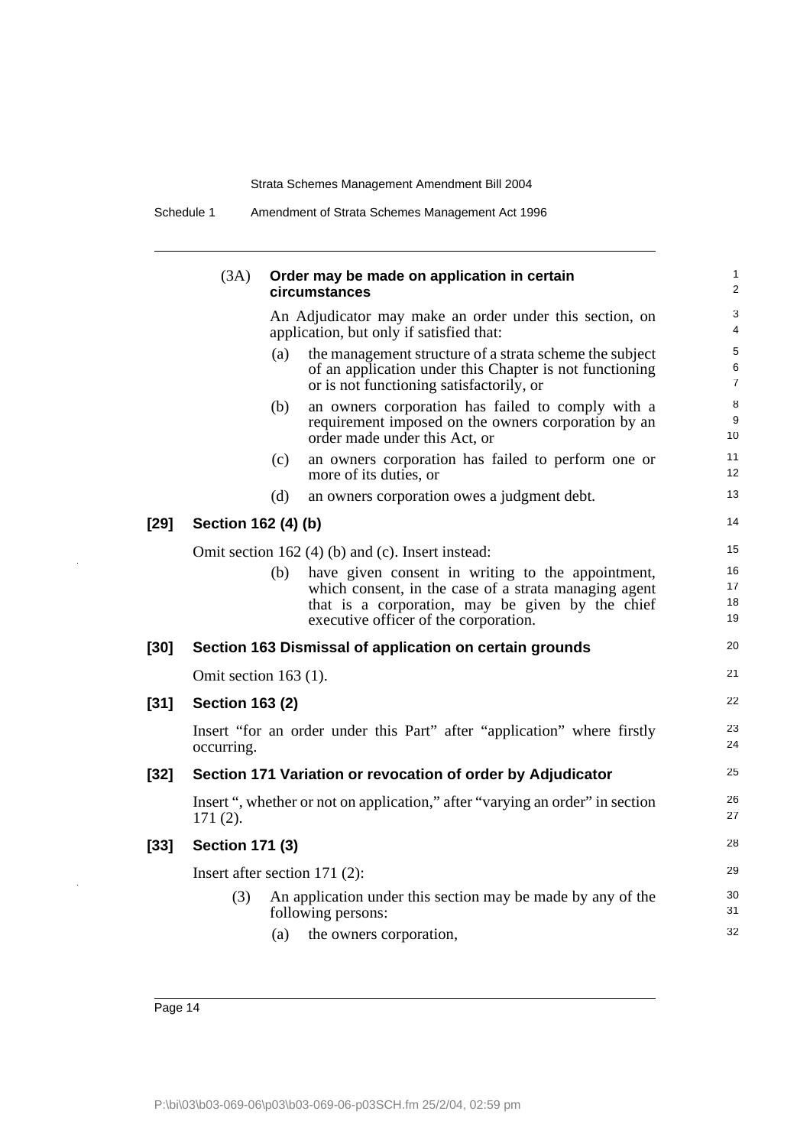|        | (3A)                                              |     | Order may be made on application in certain<br>circumstances                                                                                                                                            | $\mathbf{1}$<br>2        |  |  |
|--------|---------------------------------------------------|-----|---------------------------------------------------------------------------------------------------------------------------------------------------------------------------------------------------------|--------------------------|--|--|
|        |                                                   |     | An Adjudicator may make an order under this section, on<br>application, but only if satisfied that:                                                                                                     | 3<br>4                   |  |  |
|        |                                                   | (a) | the management structure of a strata scheme the subject<br>of an application under this Chapter is not functioning<br>or is not functioning satisfactorily, or                                          | 5<br>6<br>$\overline{7}$ |  |  |
|        |                                                   | (b) | an owners corporation has failed to comply with a<br>requirement imposed on the owners corporation by an<br>order made under this Act, or                                                               | 8<br>9<br>10             |  |  |
|        |                                                   | (c) | an owners corporation has failed to perform one or<br>more of its duties, or                                                                                                                            | 11<br>12                 |  |  |
|        |                                                   | (d) | an owners corporation owes a judgment debt.                                                                                                                                                             | 13                       |  |  |
| $[29]$ | Section 162 (4) (b)                               |     |                                                                                                                                                                                                         | 14                       |  |  |
|        | Omit section 162 (4) (b) and (c). Insert instead: |     |                                                                                                                                                                                                         |                          |  |  |
|        |                                                   | (b) | have given consent in writing to the appointment,<br>which consent, in the case of a strata managing agent<br>that is a corporation, may be given by the chief<br>executive officer of the corporation. | 16<br>17<br>18<br>19     |  |  |
| $[30]$ |                                                   |     | Section 163 Dismissal of application on certain grounds                                                                                                                                                 | 20                       |  |  |
|        | Omit section $163$ (1).                           |     |                                                                                                                                                                                                         | 21                       |  |  |
| $[31]$ | <b>Section 163 (2)</b>                            |     |                                                                                                                                                                                                         | 22                       |  |  |
|        | occurring.                                        |     | Insert "for an order under this Part" after "application" where firstly                                                                                                                                 | 23<br>24                 |  |  |
| $[32]$ |                                                   |     | Section 171 Variation or revocation of order by Adjudicator                                                                                                                                             | 25                       |  |  |
|        | $171(2)$ .                                        |     | Insert ", whether or not on application," after "varying an order" in section                                                                                                                           | 26<br>27                 |  |  |
| $[33]$ | <b>Section 171 (3)</b>                            |     |                                                                                                                                                                                                         | 28                       |  |  |
|        | Insert after section $171(2)$ :                   |     |                                                                                                                                                                                                         | 29                       |  |  |
|        | (3)                                               |     | An application under this section may be made by any of the<br>following persons:                                                                                                                       | 30<br>31                 |  |  |
|        |                                                   | (a) | the owners corporation,                                                                                                                                                                                 | 32                       |  |  |
|        |                                                   |     |                                                                                                                                                                                                         |                          |  |  |

Schedule 1 Amendment of Strata Schemes Management Act 1996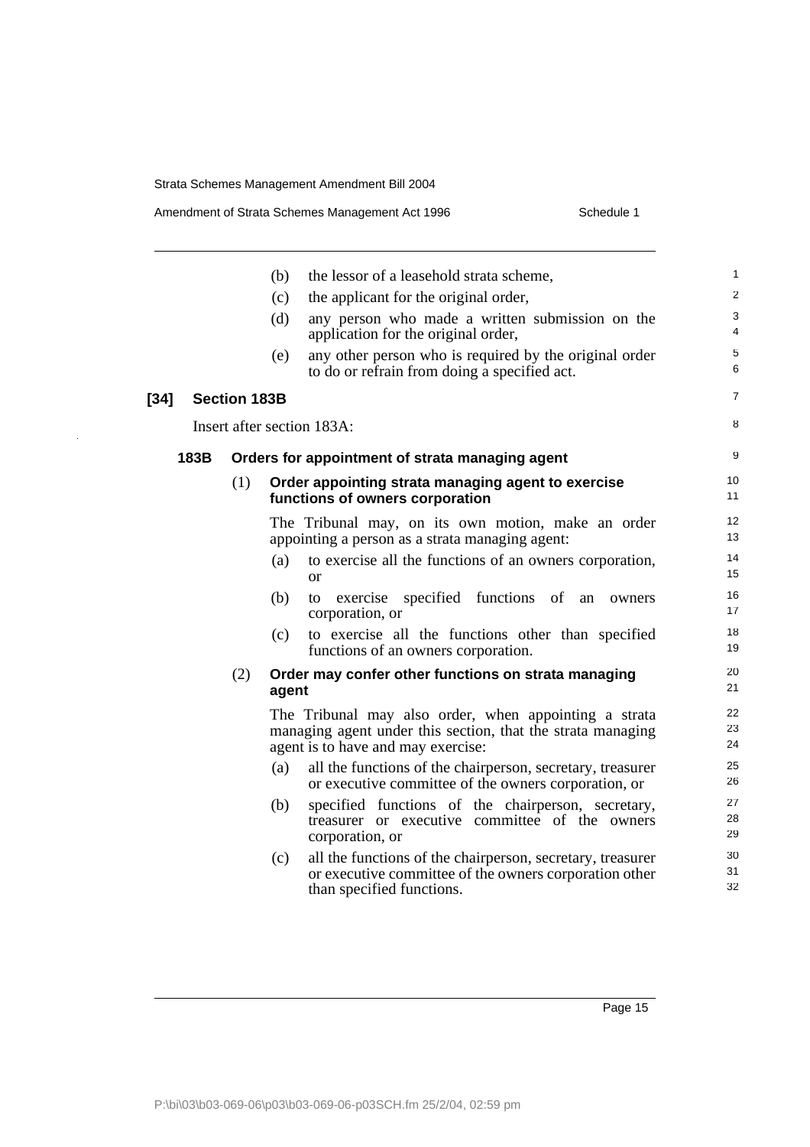[34]

J,

|      |                     | (b)   | the lessor of a leasehold strata scheme,                                                                                                                   | 1                     |
|------|---------------------|-------|------------------------------------------------------------------------------------------------------------------------------------------------------------|-----------------------|
|      |                     | (c)   | the applicant for the original order,                                                                                                                      | $\overline{2}$        |
|      |                     | (d)   | any person who made a written submission on the<br>application for the original order,                                                                     | 3<br>4                |
|      |                     | (e)   | any other person who is required by the original order<br>to do or refrain from doing a specified act.                                                     | $\sqrt{5}$<br>6       |
|      | <b>Section 183B</b> |       |                                                                                                                                                            | $\overline{7}$        |
|      |                     |       | Insert after section 183A:                                                                                                                                 | 8                     |
| 183B |                     |       | Orders for appointment of strata managing agent                                                                                                            | 9                     |
|      | (1)                 |       | Order appointing strata managing agent to exercise<br>functions of owners corporation                                                                      | 10<br>11              |
|      |                     |       | The Tribunal may, on its own motion, make an order<br>appointing a person as a strata managing agent:                                                      | 12 <sup>2</sup><br>13 |
|      |                     | (a)   | to exercise all the functions of an owners corporation,<br><sub>or</sub>                                                                                   | 14<br>15              |
|      |                     | (b)   | specified functions of an<br>exercise<br>to<br>owners<br>corporation, or                                                                                   | 16<br>17              |
|      |                     | (c)   | to exercise all the functions other than specified<br>functions of an owners corporation.                                                                  | 18<br>19              |
|      | (2)                 | agent | Order may confer other functions on strata managing                                                                                                        | 20<br>21              |
|      |                     |       | The Tribunal may also order, when appointing a strata<br>managing agent under this section, that the strata managing<br>agent is to have and may exercise: | 22<br>23<br>24        |
|      |                     | (a)   | all the functions of the chairperson, secretary, treasurer<br>or executive committee of the owners corporation, or                                         | 25<br>26              |
|      |                     | (b)   | specified functions of the chairperson, secretary,<br>treasurer or executive committee of the owners<br>corporation, or                                    | 27<br>28<br>29        |
|      |                     | (c)   | all the functions of the chairperson, secretary, treasurer<br>or executive committee of the owners corporation other<br>than specified functions.          | 30<br>31<br>32        |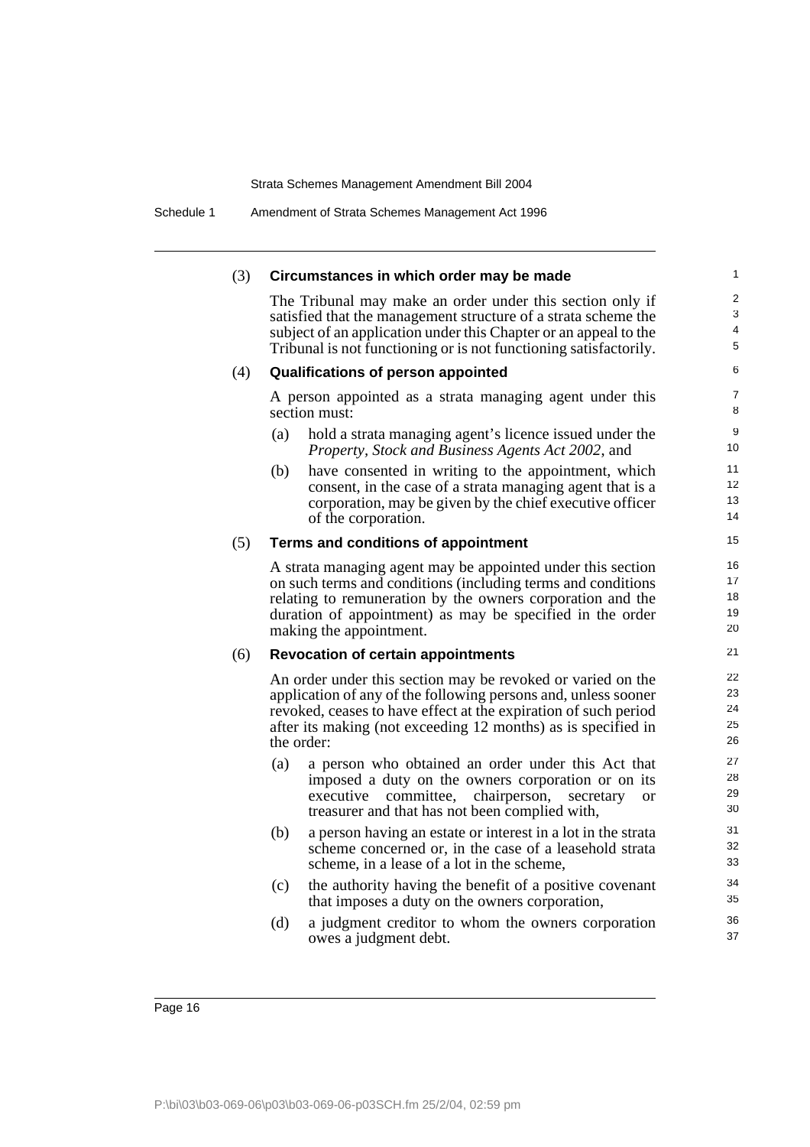#### (3) **Circumstances in which order may be made**

The Tribunal may make an order under this section only if satisfied that the management structure of a strata scheme the subject of an application under this Chapter or an appeal to the Tribunal is not functioning or is not functioning satisfactorily.

#### (4) **Qualifications of person appointed**

A person appointed as a strata managing agent under this section must:

- (a) hold a strata managing agent's licence issued under the *Property, Stock and Business Agents Act 2002*, and
- (b) have consented in writing to the appointment, which consent, in the case of a strata managing agent that is a corporation, may be given by the chief executive officer of the corporation.

#### (5) **Terms and conditions of appointment**

A strata managing agent may be appointed under this section on such terms and conditions (including terms and conditions relating to remuneration by the owners corporation and the duration of appointment) as may be specified in the order making the appointment.

#### (6) **Revocation of certain appointments**

An order under this section may be revoked or varied on the application of any of the following persons and, unless sooner revoked, ceases to have effect at the expiration of such period after its making (not exceeding 12 months) as is specified in the order:

- (a) a person who obtained an order under this Act that imposed a duty on the owners corporation or on its executive committee, chairperson, secretary or treasurer and that has not been complied with,
- (b) a person having an estate or interest in a lot in the strata scheme concerned or, in the case of a leasehold strata scheme, in a lease of a lot in the scheme,
- (c) the authority having the benefit of a positive covenant that imposes a duty on the owners corporation,
- (d) a judgment creditor to whom the owners corporation owes a judgment debt.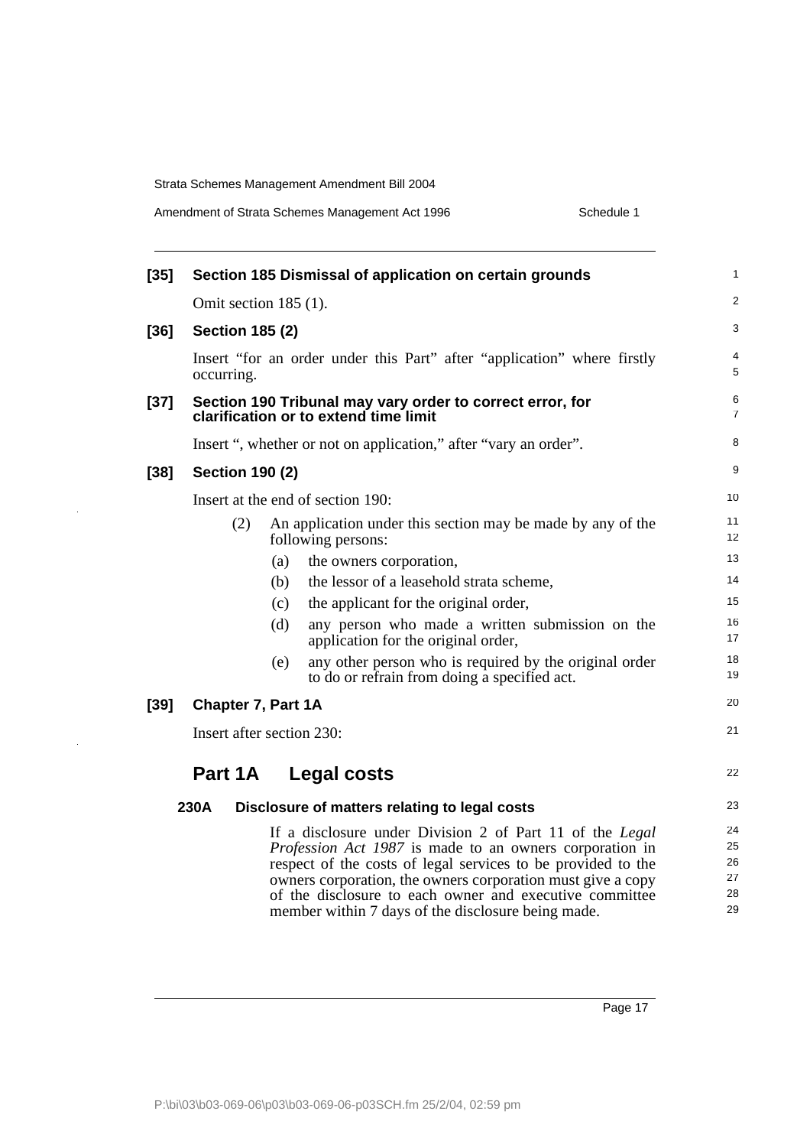$\ddot{\phantom{1}}$ 

| Amendment of Strata Schemes Management Act 1996 |  |  |
|-------------------------------------------------|--|--|
|-------------------------------------------------|--|--|

Schedule 1

| $[35]$ |                           |     | Section 185 Dismissal of application on certain grounds                                                                                                                                                                                                                                                                                                                    | 1                                |
|--------|---------------------------|-----|----------------------------------------------------------------------------------------------------------------------------------------------------------------------------------------------------------------------------------------------------------------------------------------------------------------------------------------------------------------------------|----------------------------------|
|        | Omit section 185 (1).     |     |                                                                                                                                                                                                                                                                                                                                                                            | $\overline{2}$                   |
| $[36]$ | <b>Section 185 (2)</b>    |     |                                                                                                                                                                                                                                                                                                                                                                            | 3                                |
|        | occurring.                |     | Insert "for an order under this Part" after "application" where firstly                                                                                                                                                                                                                                                                                                    | 4<br>5                           |
| $[37]$ |                           |     | Section 190 Tribunal may vary order to correct error, for<br>clarification or to extend time limit                                                                                                                                                                                                                                                                         | 6<br>$\overline{7}$              |
|        |                           |     | Insert ", whether or not on application," after "vary an order".                                                                                                                                                                                                                                                                                                           | 8                                |
| $[38]$ | <b>Section 190 (2)</b>    |     |                                                                                                                                                                                                                                                                                                                                                                            | 9                                |
|        |                           |     | Insert at the end of section 190:                                                                                                                                                                                                                                                                                                                                          | 10                               |
|        | (2)                       |     | An application under this section may be made by any of the<br>following persons:                                                                                                                                                                                                                                                                                          | 11<br>12 <sup>2</sup>            |
|        |                           | (a) | the owners corporation,                                                                                                                                                                                                                                                                                                                                                    | 13                               |
|        |                           | (b) | the lessor of a leasehold strata scheme,                                                                                                                                                                                                                                                                                                                                   | 14                               |
|        |                           | (c) | the applicant for the original order,                                                                                                                                                                                                                                                                                                                                      | 15                               |
|        |                           | (d) | any person who made a written submission on the<br>application for the original order,                                                                                                                                                                                                                                                                                     | 16<br>17                         |
|        |                           | (e) | any other person who is required by the original order<br>to do or refrain from doing a specified act.                                                                                                                                                                                                                                                                     | 18<br>19                         |
| $[39]$ | Chapter 7, Part 1A        |     |                                                                                                                                                                                                                                                                                                                                                                            | 20                               |
|        | Insert after section 230: |     |                                                                                                                                                                                                                                                                                                                                                                            | 21                               |
|        | Part 1A                   |     | <b>Legal costs</b>                                                                                                                                                                                                                                                                                                                                                         | 22                               |
|        | 230A                      |     | Disclosure of matters relating to legal costs                                                                                                                                                                                                                                                                                                                              | 23                               |
|        |                           |     | If a disclosure under Division 2 of Part 11 of the Legal<br><i>Profession Act 1987</i> is made to an owners corporation in<br>respect of the costs of legal services to be provided to the<br>owners corporation, the owners corporation must give a copy<br>of the disclosure to each owner and executive committee<br>member within 7 days of the disclosure being made. | 24<br>25<br>26<br>27<br>28<br>29 |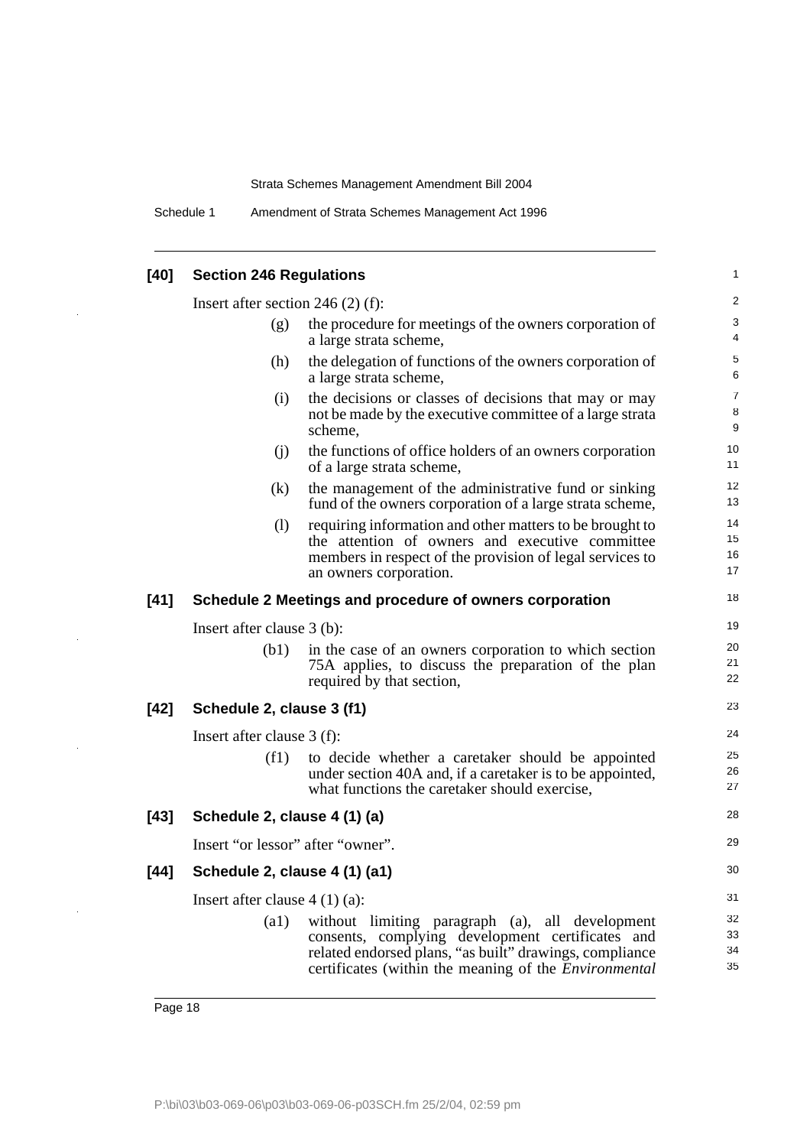Schedule 1 Amendment of Strata Schemes Management Act 1996

#### **[40] Section 246 Regulations** Insert after section 246 (2) (f): (g) the procedure for meetings of the owners corporation of a large strata scheme, (h) the delegation of functions of the owners corporation of a large strata scheme, (i) the decisions or classes of decisions that may or may not be made by the executive committee of a large strata scheme, (j) the functions of office holders of an owners corporation of a large strata scheme, (k) the management of the administrative fund or sinking fund of the owners corporation of a large strata scheme, (l) requiring information and other matters to be brought to the attention of owners and executive committee members in respect of the provision of legal services to an owners corporation. **[41] Schedule 2 Meetings and procedure of owners corporation** Insert after clause 3 (b): (b1) in the case of an owners corporation to which section 75A applies, to discuss the preparation of the plan required by that section, **[42] Schedule 2, clause 3 (f1)** Insert after clause 3 (f): (f1) to decide whether a caretaker should be appointed under section 40A and, if a caretaker is to be appointed, what functions the caretaker should exercise, **[43] Schedule 2, clause 4 (1) (a)** Insert "or lessor" after "owner". **[44] Schedule 2, clause 4 (1) (a1)** Insert after clause 4 (1) (a): (a1) without limiting paragraph (a), all development consents, complying development certificates and related endorsed plans, "as built" drawings, compliance certificates (within the meaning of the *Environmental* 1  $\mathfrak{p}$ 3 4 5 6 7 8 9 10 11 12 13 14 15 16 17 18 19 20 21 22 23 24 25 26 27 28 29 30 31 32 33 34 35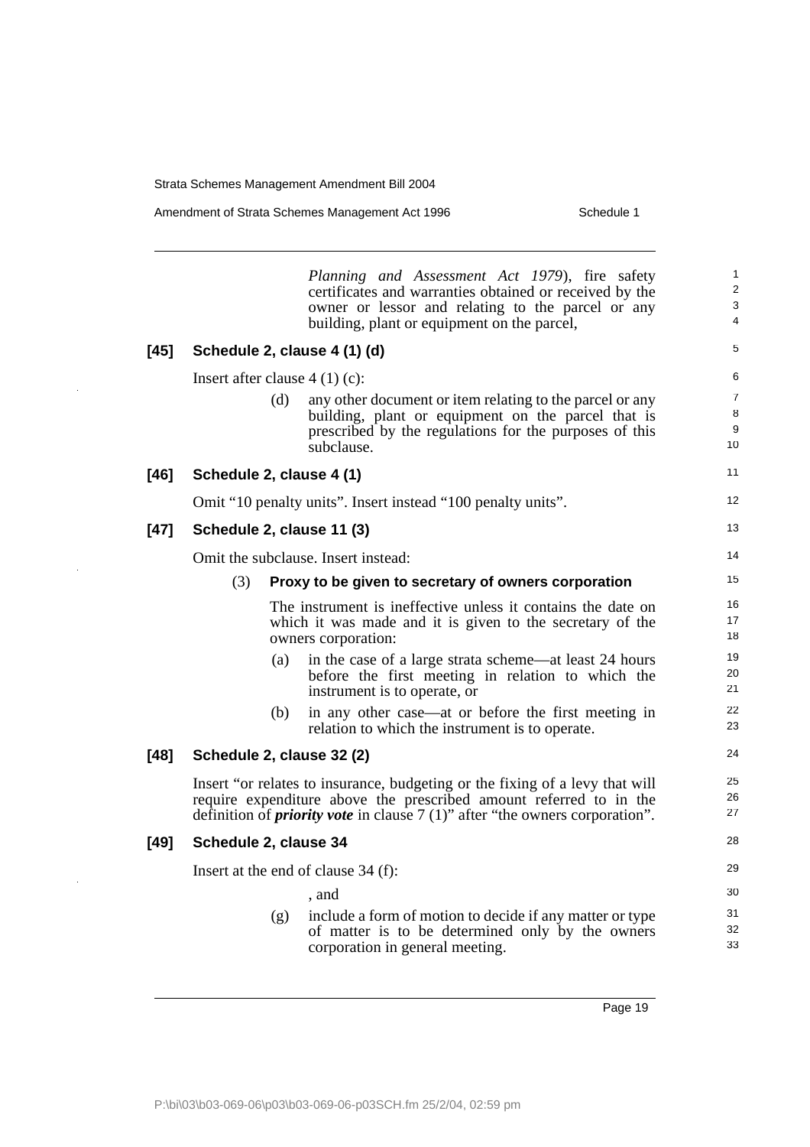Amendment of Strata Schemes Management Act 1996 Schedule 1

*Planning and Assessment Act 1979*), fire safety certificates and warranties obtained or received by the owner or lessor and relating to the parcel or any building, plant or equipment on the parcel, **[45] Schedule 2, clause 4 (1) (d)** Insert after clause 4 (1) (c): (d) any other document or item relating to the parcel or any building, plant or equipment on the parcel that is prescribed by the regulations for the purposes of this subclause. **[46] Schedule 2, clause 4 (1)** Omit "10 penalty units". Insert instead "100 penalty units". **[47] Schedule 2, clause 11 (3)** Omit the subclause. Insert instead: (3) **Proxy to be given to secretary of owners corporation** The instrument is ineffective unless it contains the date on which it was made and it is given to the secretary of the owners corporation: (a) in the case of a large strata scheme—at least 24 hours before the first meeting in relation to which the instrument is to operate, or (b) in any other case—at or before the first meeting in relation to which the instrument is to operate. **[48] Schedule 2, clause 32 (2)** Insert "or relates to insurance, budgeting or the fixing of a levy that will require expenditure above the prescribed amount referred to in the definition of *priority vote* in clause 7 (1)" after "the owners corporation". **[49] Schedule 2, clause 34** Insert at the end of clause 34 (f): , and (g) include a form of motion to decide if any matter or type of matter is to be determined only by the owners corporation in general meeting. 1  $\overline{2}$ 3 4 5 6 7 8 9 10 11 12 13 14 15 16 17 18 19 20 21 22 23 24 25 26 27 28 29 30 31 32 33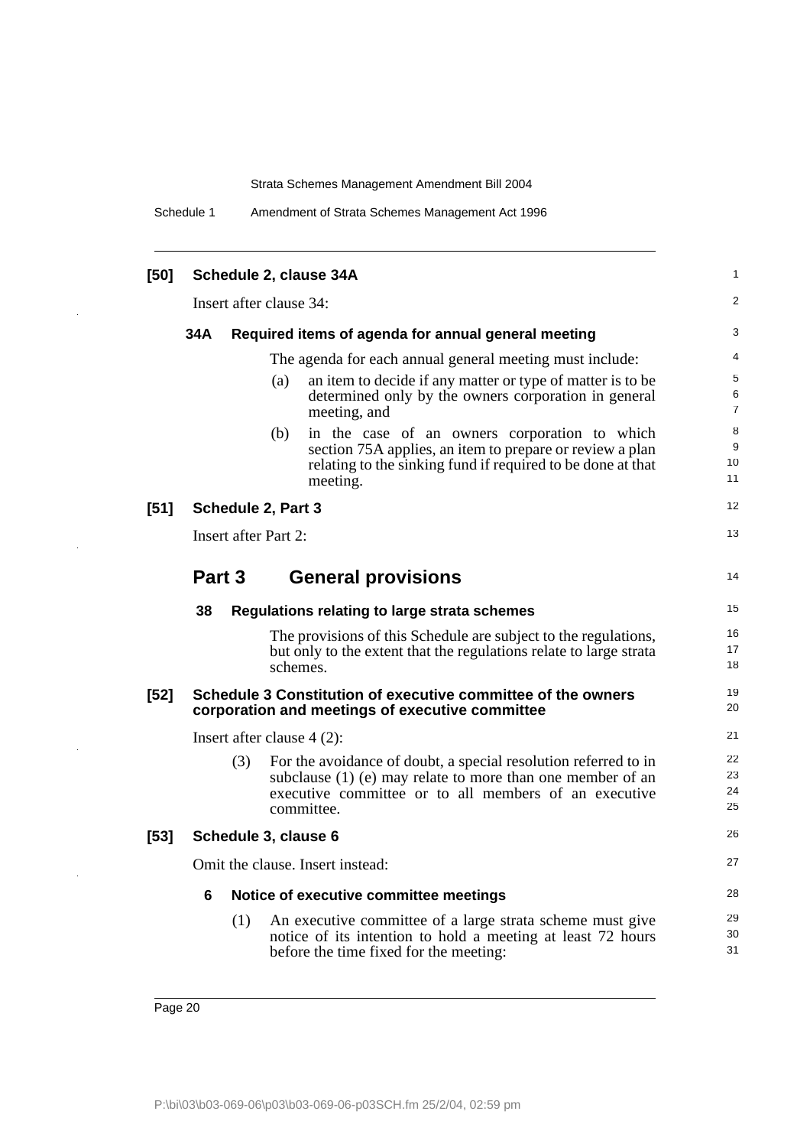Schedule 1 Amendment of Strata Schemes Management Act 1996

| [50]   |        |     |                              | Schedule 2, clause 34A                                                                                                                                                                               | 1                    |
|--------|--------|-----|------------------------------|------------------------------------------------------------------------------------------------------------------------------------------------------------------------------------------------------|----------------------|
|        |        |     | Insert after clause 34:      |                                                                                                                                                                                                      | 2                    |
|        | 34A    |     |                              | Required items of agenda for annual general meeting                                                                                                                                                  | 3                    |
|        |        |     |                              | The agenda for each annual general meeting must include:                                                                                                                                             | 4                    |
|        |        |     | (a)                          | an item to decide if any matter or type of matter is to be<br>determined only by the owners corporation in general<br>meeting, and                                                                   | 5<br>6<br>7          |
|        |        |     | (b)                          | in the case of an owners corporation to which<br>section 75A applies, an item to prepare or review a plan<br>relating to the sinking fund if required to be done at that<br>meeting.                 | 8<br>9<br>10<br>11   |
| $[51]$ |        |     | Schedule 2, Part 3           |                                                                                                                                                                                                      | 12                   |
|        |        |     | <b>Insert after Part 2:</b>  |                                                                                                                                                                                                      | 13                   |
|        | Part 3 |     |                              | <b>General provisions</b>                                                                                                                                                                            | 14                   |
|        | 38     |     |                              | Regulations relating to large strata schemes                                                                                                                                                         | 15                   |
|        |        |     | schemes.                     | The provisions of this Schedule are subject to the regulations,<br>but only to the extent that the regulations relate to large strata                                                                | 16<br>17<br>18       |
| $[52]$ |        |     |                              | Schedule 3 Constitution of executive committee of the owners<br>corporation and meetings of executive committee                                                                                      | 19<br>20             |
|        |        |     | Insert after clause $4(2)$ : |                                                                                                                                                                                                      | 21                   |
|        |        | (3) |                              | For the avoidance of doubt, a special resolution referred to in<br>subclause (1) (e) may relate to more than one member of an<br>executive committee or to all members of an executive<br>committee. | 22<br>23<br>24<br>25 |
| $[53]$ |        |     | Schedule 3, clause 6         |                                                                                                                                                                                                      | 26                   |
|        |        |     |                              | Omit the clause. Insert instead:                                                                                                                                                                     | 27                   |
|        | 6      |     |                              | Notice of executive committee meetings                                                                                                                                                               | 28                   |
|        |        | (1) |                              | An executive committee of a large strata scheme must give<br>notice of its intention to hold a meeting at least 72 hours<br>before the time fixed for the meeting:                                   | 29<br>30<br>31       |

 $\ddot{\phantom{1}}$ 

 $\ddot{\phantom{a}}$ 

 $\ddot{\phantom{a}}$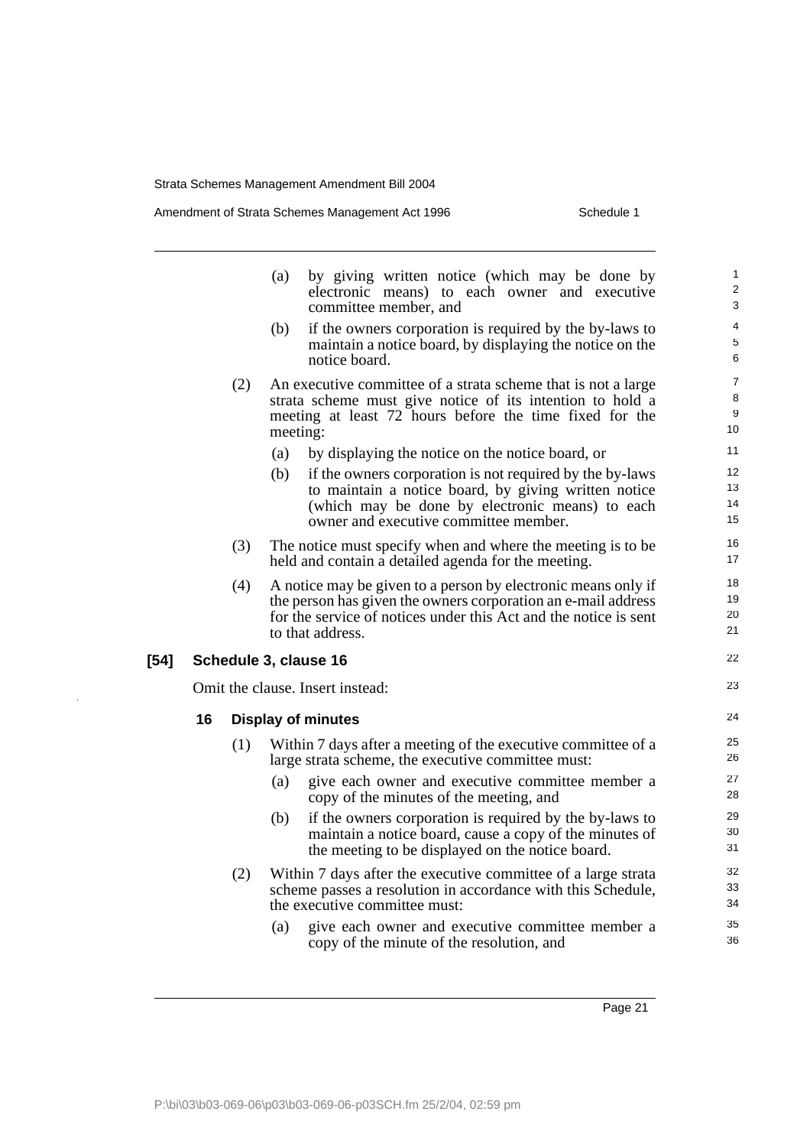$\frac{1}{2}$ 

|        |    |     | by giving written notice (which may be done by<br>(a)<br>electronic means) to each owner and executive<br>committee member, and                                                                                        | 1<br>2<br>3                    |
|--------|----|-----|------------------------------------------------------------------------------------------------------------------------------------------------------------------------------------------------------------------------|--------------------------------|
|        |    |     | (b)<br>if the owners corporation is required by the by-laws to<br>maintain a notice board, by displaying the notice on the<br>notice board.                                                                            | 4<br>5<br>6                    |
|        |    | (2) | An executive committee of a strata scheme that is not a large<br>strata scheme must give notice of its intention to hold a<br>meeting at least 72 hours before the time fixed for the<br>meeting:                      | $\overline{7}$<br>8<br>9<br>10 |
|        |    |     | (a)<br>by displaying the notice on the notice board, or                                                                                                                                                                | 11                             |
|        |    |     | (b)<br>if the owners corporation is not required by the by-laws<br>to maintain a notice board, by giving written notice                                                                                                | 12<br>13                       |
|        |    |     | (which may be done by electronic means) to each<br>owner and executive committee member.                                                                                                                               | 14<br>15                       |
|        |    | (3) | The notice must specify when and where the meeting is to be.<br>held and contain a detailed agenda for the meeting.                                                                                                    | 16<br>17                       |
|        |    | (4) | A notice may be given to a person by electronic means only if<br>the person has given the owners corporation an e-mail address<br>for the service of notices under this Act and the notice is sent<br>to that address. | 18<br>19<br>20<br>21           |
| $[54]$ |    |     | Schedule 3, clause 16                                                                                                                                                                                                  | 22                             |
|        |    |     | Omit the clause. Insert instead:                                                                                                                                                                                       | 23                             |
|        | 16 |     | <b>Display of minutes</b>                                                                                                                                                                                              | 24                             |
|        |    | (1) | Within 7 days after a meeting of the executive committee of a<br>large strata scheme, the executive committee must:                                                                                                    | 25<br>26                       |
|        |    |     | (a)<br>give each owner and executive committee member a<br>copy of the minutes of the meeting, and                                                                                                                     | 27<br>28                       |
|        |    |     | (b)<br>if the owners corporation is required by the by-laws to<br>maintain a notice board, cause a copy of the minutes of<br>the meeting to be displayed on the notice board.                                          | 29<br>30<br>31                 |
|        |    | (2) | Within 7 days after the executive committee of a large strata<br>scheme passes a resolution in accordance with this Schedule,<br>the executive committee must:                                                         | 32<br>33<br>34                 |
|        |    |     | give each owner and executive committee member a<br>(a)<br>copy of the minute of the resolution, and                                                                                                                   | 35<br>36                       |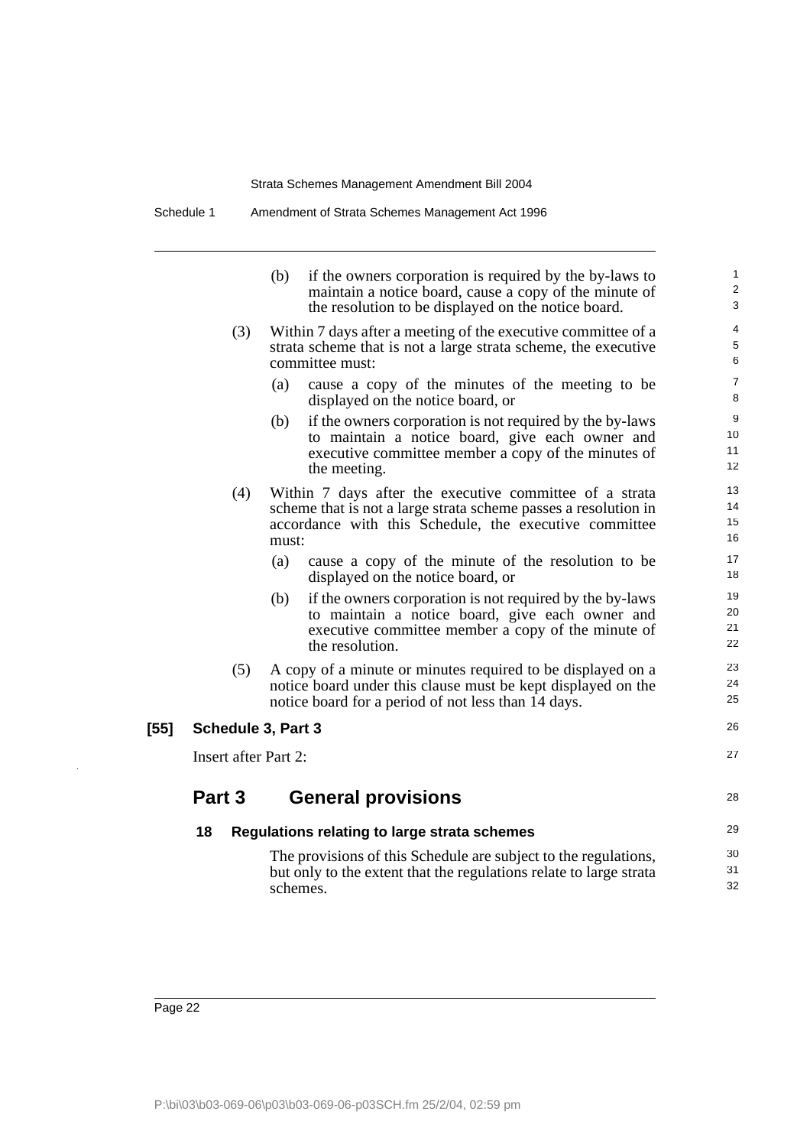|        |                             | (b)<br>if the owners corporation is required by the by-laws to<br>maintain a notice board, cause a copy of the minute of<br>the resolution to be displayed on the notice board.               | 1<br>$\overline{2}$<br>3 |
|--------|-----------------------------|-----------------------------------------------------------------------------------------------------------------------------------------------------------------------------------------------|--------------------------|
|        | (3)                         | Within 7 days after a meeting of the executive committee of a<br>strata scheme that is not a large strata scheme, the executive<br>committee must:                                            | 4<br>5<br>6              |
|        |                             | cause a copy of the minutes of the meeting to be<br>(a)<br>displayed on the notice board, or                                                                                                  | $\overline{7}$<br>8      |
|        |                             | (b)<br>if the owners corporation is not required by the by-laws<br>to maintain a notice board, give each owner and<br>executive committee member a copy of the minutes of<br>the meeting.     | 9<br>10<br>11<br>12      |
|        | (4)                         | Within 7 days after the executive committee of a strata<br>scheme that is not a large strata scheme passes a resolution in<br>accordance with this Schedule, the executive committee<br>must: | 13<br>14<br>15<br>16     |
|        |                             | (a)<br>cause a copy of the minute of the resolution to be<br>displayed on the notice board, or                                                                                                | 17<br>18                 |
|        |                             | (b)<br>if the owners corporation is not required by the by-laws<br>to maintain a notice board, give each owner and<br>executive committee member a copy of the minute of<br>the resolution.   | 19<br>20<br>21<br>22     |
|        | (5)                         | A copy of a minute or minutes required to be displayed on a<br>notice board under this clause must be kept displayed on the<br>notice board for a period of not less than 14 days.            | 23<br>24<br>25           |
| $[55]$ | Schedule 3, Part 3          |                                                                                                                                                                                               | 26                       |
|        | <b>Insert after Part 2:</b> |                                                                                                                                                                                               | 27                       |
|        | Part 3                      | <b>General provisions</b>                                                                                                                                                                     | 28                       |
|        | 18                          | Regulations relating to large strata schemes                                                                                                                                                  | 29                       |
|        |                             | The provisions of this Schedule are subject to the regulations,<br>but only to the extent that the regulations relate to large strata<br>schemes.                                             | 30<br>31<br>32           |
|        |                             |                                                                                                                                                                                               |                          |

l,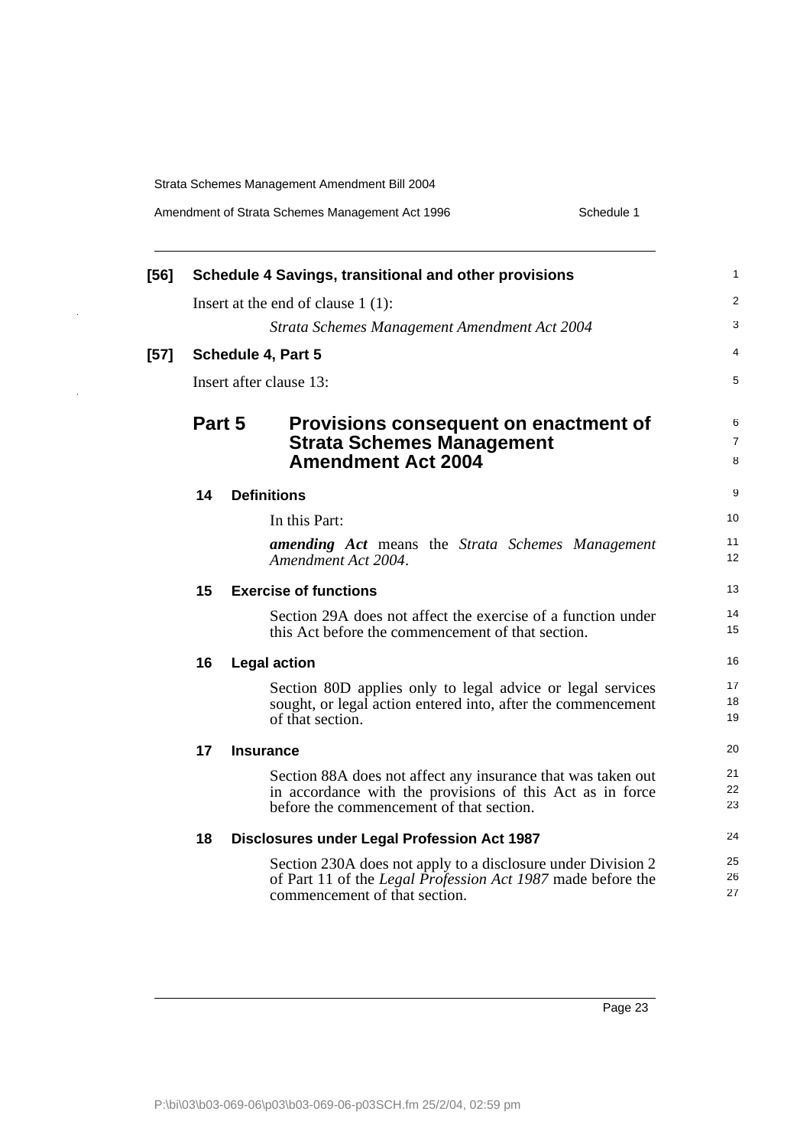l,

 $\hat{\mathcal{A}}$ 

|        |        | Schedule 1<br>Amendment of Strata Schemes Management Act 1996                                                                                                         |  |
|--------|--------|-----------------------------------------------------------------------------------------------------------------------------------------------------------------------|--|
| [56]   |        | Schedule 4 Savings, transitional and other provisions                                                                                                                 |  |
|        |        | Insert at the end of clause $1(1)$ :                                                                                                                                  |  |
|        |        | Strata Schemes Management Amendment Act 2004                                                                                                                          |  |
| $[57]$ |        | <b>Schedule 4, Part 5</b>                                                                                                                                             |  |
|        |        | Insert after clause 13:                                                                                                                                               |  |
|        | Part 5 | <b>Provisions consequent on enactment of</b><br><b>Strata Schemes Management</b><br><b>Amendment Act 2004</b>                                                         |  |
|        | 14     | <b>Definitions</b>                                                                                                                                                    |  |
|        |        | In this Part:                                                                                                                                                         |  |
|        |        | <b>amending Act</b> means the Strata Schemes Management<br>Amendment Act 2004.                                                                                        |  |
|        | 15     | <b>Exercise of functions</b>                                                                                                                                          |  |
|        |        | Section 29A does not affect the exercise of a function under<br>this Act before the commencement of that section.                                                     |  |
|        | 16     | <b>Legal action</b>                                                                                                                                                   |  |
|        |        | Section 80D applies only to legal advice or legal services<br>sought, or legal action entered into, after the commencement<br>of that section.                        |  |
|        | 17     | <b>Insurance</b>                                                                                                                                                      |  |
|        |        | Section 88A does not affect any insurance that was taken out<br>in accordance with the provisions of this Act as in force<br>before the commencement of that section. |  |
|        | 18     | <b>Disclosures under Legal Profession Act 1987</b>                                                                                                                    |  |
|        |        | Section 230A does not apply to a disclosure under Division 2<br>of Part 11 of the Legal Profession Act 1987 made before the<br>commencement of that section.          |  |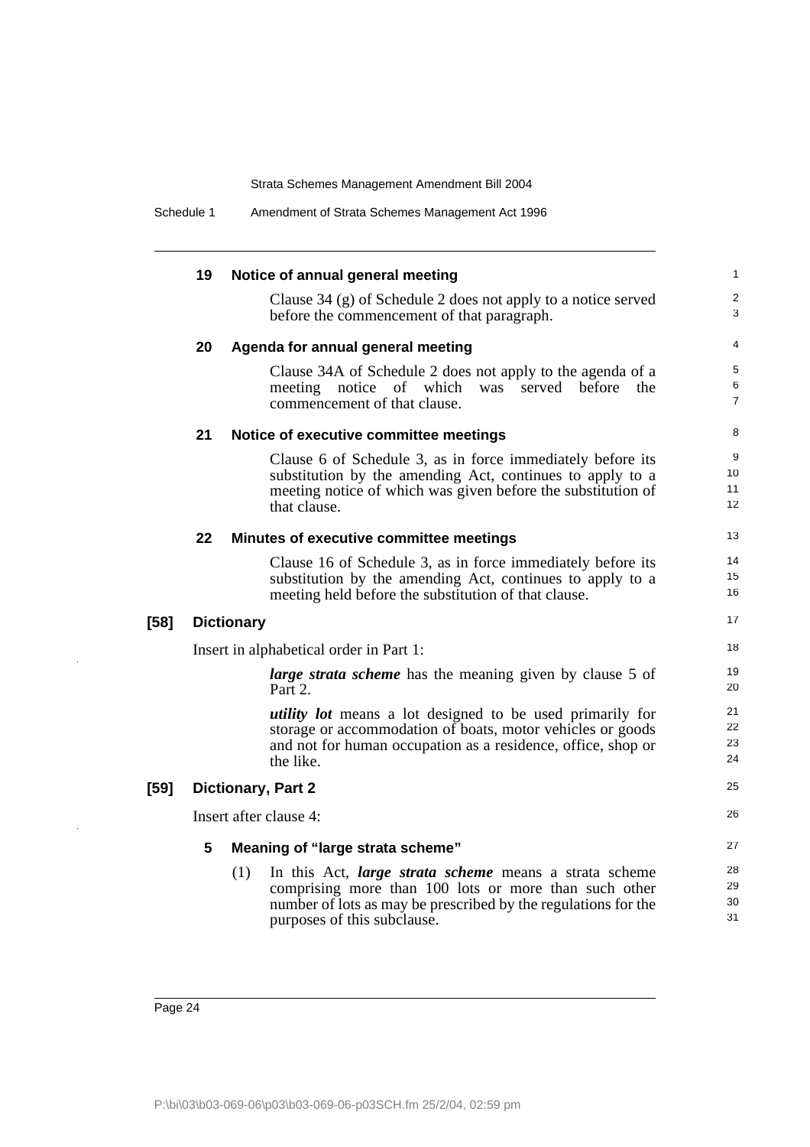|        | 19 | Notice of annual general meeting                                                                                                                                                                                               | $\mathbf{1}$             |
|--------|----|--------------------------------------------------------------------------------------------------------------------------------------------------------------------------------------------------------------------------------|--------------------------|
|        |    | Clause $34$ (g) of Schedule 2 does not apply to a notice served<br>before the commencement of that paragraph.                                                                                                                  | 2<br>3                   |
|        | 20 | Agenda for annual general meeting                                                                                                                                                                                              | 4                        |
|        |    | Clause 34A of Schedule 2 does not apply to the agenda of a<br>notice of which<br>meeting<br>served before<br>the<br>was<br>commencement of that clause.                                                                        | 5<br>6<br>$\overline{7}$ |
|        | 21 | Notice of executive committee meetings                                                                                                                                                                                         | 8                        |
|        |    | Clause 6 of Schedule 3, as in force immediately before its<br>substitution by the amending Act, continues to apply to a<br>meeting notice of which was given before the substitution of<br>that clause.                        | 9<br>10<br>11<br>12      |
|        | 22 | Minutes of executive committee meetings                                                                                                                                                                                        | 13                       |
|        |    | Clause 16 of Schedule 3, as in force immediately before its<br>substitution by the amending Act, continues to apply to a<br>meeting held before the substitution of that clause.                                               | 14<br>15<br>16           |
| $[58]$ |    | <b>Dictionary</b>                                                                                                                                                                                                              | 17                       |
|        |    | Insert in alphabetical order in Part 1:                                                                                                                                                                                        | 18                       |
|        |    | <i>large strata scheme</i> has the meaning given by clause 5 of<br>Part 2.                                                                                                                                                     | 19<br>20                 |
|        |    | utility lot means a lot designed to be used primarily for<br>storage or accommodation of boats, motor vehicles or goods<br>and not for human occupation as a residence, office, shop or<br>the like.                           | 21<br>22<br>23<br>24     |
| $[59]$ |    | <b>Dictionary, Part 2</b>                                                                                                                                                                                                      | 25                       |
|        |    | Insert after clause 4:                                                                                                                                                                                                         | 26                       |
|        | 5  | Meaning of "large strata scheme"                                                                                                                                                                                               | 27                       |
|        |    | (1)<br>In this Act, <i>large strata scheme</i> means a strata scheme<br>comprising more than 100 lots or more than such other<br>number of lots as may be prescribed by the regulations for the<br>purposes of this subclause. | 28<br>29<br>30<br>31     |

Page 24

 $\overline{a}$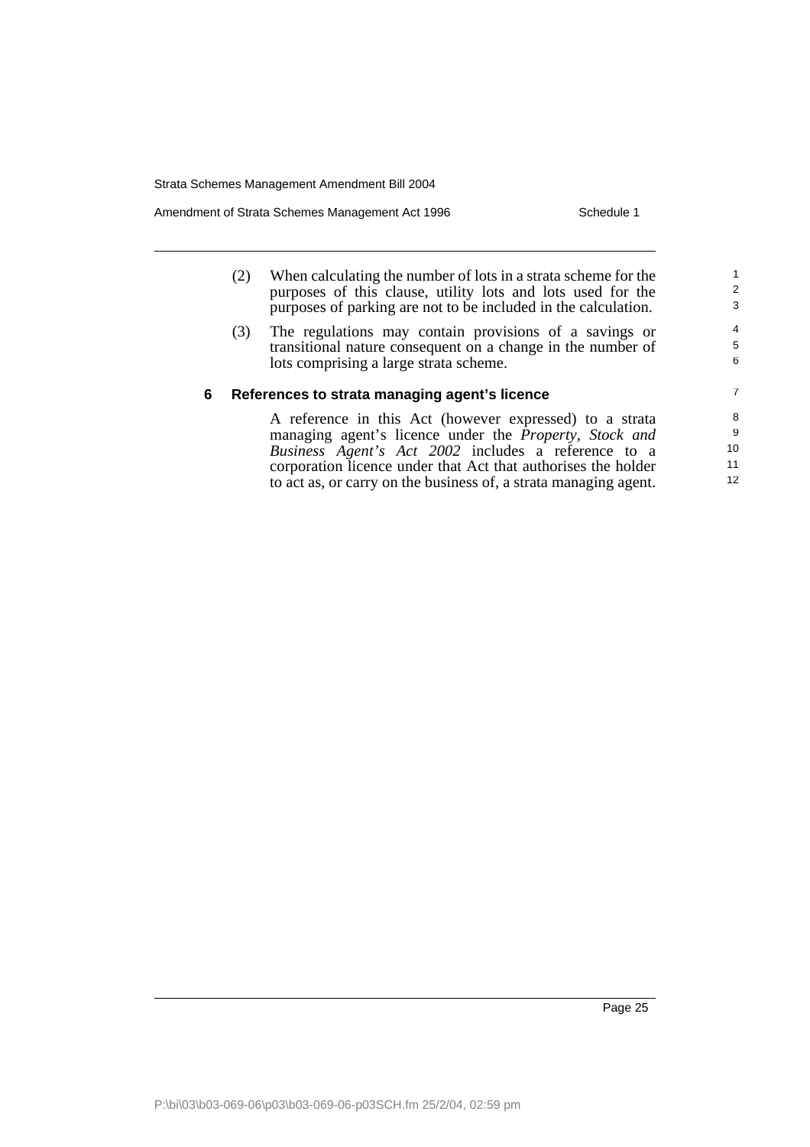Amendment of Strata Schemes Management Act 1996 Schedule 1

12

|   | (2) | When calculating the number of lots in a strata scheme for the<br>purposes of this clause, utility lots and lots used for the<br>purposes of parking are not to be included in the calculation. | 2<br>3      |
|---|-----|-------------------------------------------------------------------------------------------------------------------------------------------------------------------------------------------------|-------------|
|   | (3) | The regulations may contain provisions of a savings or<br>transitional nature consequent on a change in the number of<br>lots comprising a large strata scheme.                                 | 4<br>5<br>6 |
| 6 |     | References to strata managing agent's licence                                                                                                                                                   | 7           |
|   |     | A reference in this Act (however expressed) to a strata                                                                                                                                         | 8           |
|   |     | managing agent's licence under the <i>Property</i> , <i>Stock and</i>                                                                                                                           | 9           |
|   |     | Business Agent's Act 2002 includes a reference to a                                                                                                                                             | 10          |
|   |     | corporation licence under that Act that authorises the holder                                                                                                                                   | 11          |

to act as, or carry on the business of, a strata managing agent.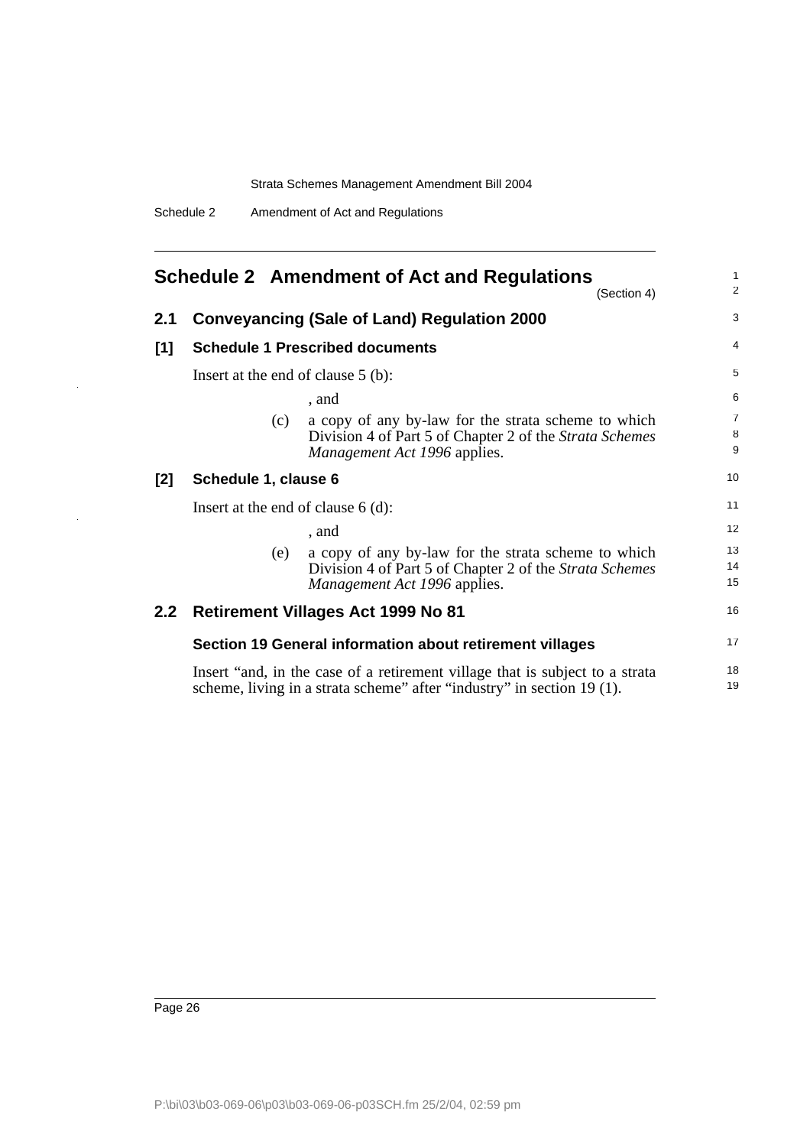<span id="page-27-0"></span>

| <b>Schedule 2 Amendment of Act and Regulations</b> |                      |     |                                                                                                                                                       |                |  |
|----------------------------------------------------|----------------------|-----|-------------------------------------------------------------------------------------------------------------------------------------------------------|----------------|--|
|                                                    |                      |     | (Section 4)                                                                                                                                           | $\overline{2}$ |  |
| 2.1                                                |                      |     | <b>Conveyancing (Sale of Land) Regulation 2000</b>                                                                                                    | 3              |  |
| [1]                                                |                      |     | <b>Schedule 1 Prescribed documents</b>                                                                                                                | $\overline{4}$ |  |
|                                                    |                      |     | Insert at the end of clause $5$ (b):                                                                                                                  | 5              |  |
|                                                    |                      |     | , and                                                                                                                                                 | 6              |  |
|                                                    |                      | (c) | a copy of any by-law for the strata scheme to which<br>Division 4 of Part 5 of Chapter 2 of the Strata Schemes<br>Management Act 1996 applies.        | 7<br>8<br>9    |  |
| [2]                                                | Schedule 1, clause 6 |     |                                                                                                                                                       | 10             |  |
|                                                    |                      |     | Insert at the end of clause $6(d)$ :                                                                                                                  | 11             |  |
|                                                    |                      |     | , and                                                                                                                                                 | 12             |  |
|                                                    |                      | (e) | a copy of any by-law for the strata scheme to which<br>Division 4 of Part 5 of Chapter 2 of the Strata Schemes<br>Management Act 1996 applies.        | 13<br>14<br>15 |  |
| 2.2                                                |                      |     | <b>Retirement Villages Act 1999 No 81</b>                                                                                                             | 16             |  |
|                                                    |                      |     | Section 19 General information about retirement villages                                                                                              | 17             |  |
|                                                    |                      |     | Insert "and, in the case of a retirement village that is subject to a strata<br>scheme, living in a strata scheme" after "industry" in section 19(1). | 18<br>19       |  |

J,

 $\bar{z}$